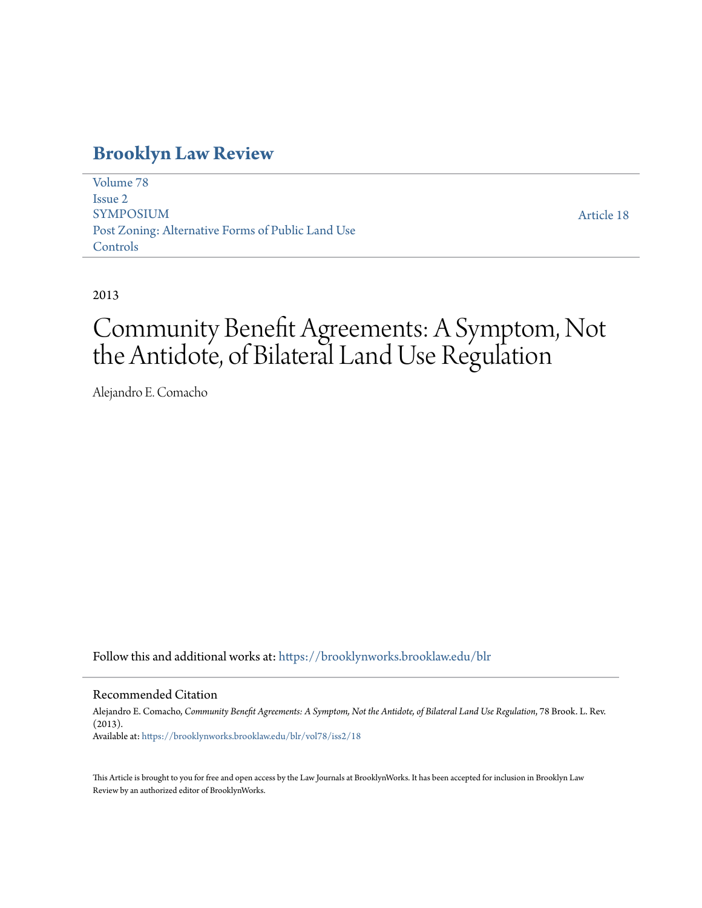# **[Brooklyn Law Review](https://brooklynworks.brooklaw.edu/blr?utm_source=brooklynworks.brooklaw.edu%2Fblr%2Fvol78%2Fiss2%2F18&utm_medium=PDF&utm_campaign=PDFCoverPages)**

[Volume 78](https://brooklynworks.brooklaw.edu/blr/vol78?utm_source=brooklynworks.brooklaw.edu%2Fblr%2Fvol78%2Fiss2%2F18&utm_medium=PDF&utm_campaign=PDFCoverPages) [Issue 2](https://brooklynworks.brooklaw.edu/blr/vol78/iss2?utm_source=brooklynworks.brooklaw.edu%2Fblr%2Fvol78%2Fiss2%2F18&utm_medium=PDF&utm_campaign=PDFCoverPages) SYMPOSIUM Post Zoning: Alternative Forms of Public Land Use Controls

[Article 18](https://brooklynworks.brooklaw.edu/blr/vol78/iss2/18?utm_source=brooklynworks.brooklaw.edu%2Fblr%2Fvol78%2Fiss2%2F18&utm_medium=PDF&utm_campaign=PDFCoverPages)

2013

# Community Benefit Agreements: A Symptom, Not the Antidote, of Bilateral Land Use Regulation

Alejandro E. Comacho

Follow this and additional works at: [https://brooklynworks.brooklaw.edu/blr](https://brooklynworks.brooklaw.edu/blr?utm_source=brooklynworks.brooklaw.edu%2Fblr%2Fvol78%2Fiss2%2F18&utm_medium=PDF&utm_campaign=PDFCoverPages)

#### Recommended Citation

Alejandro E. Comacho, *Community Benefit Agreements: A Symptom, Not the Antidote, of Bilateral Land Use Regulation*, 78 Brook. L. Rev. (2013). Available at: [https://brooklynworks.brooklaw.edu/blr/vol78/iss2/18](https://brooklynworks.brooklaw.edu/blr/vol78/iss2/18?utm_source=brooklynworks.brooklaw.edu%2Fblr%2Fvol78%2Fiss2%2F18&utm_medium=PDF&utm_campaign=PDFCoverPages)

This Article is brought to you for free and open access by the Law Journals at BrooklynWorks. It has been accepted for inclusion in Brooklyn Law Review by an authorized editor of BrooklynWorks.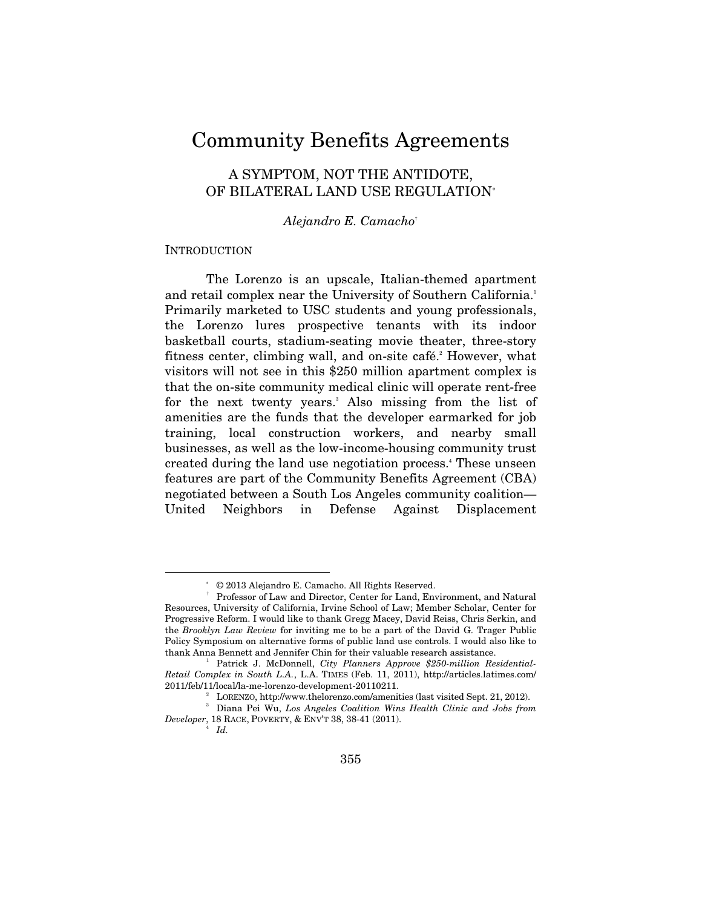# Community Benefits Agreements

# A SYMPTOM, NOT THE ANTIDOTE, OF BILATERAL LAND USE REGULATION<sup>∗</sup>

### *Alejandro E. Camacho*†

#### **INTRODUCTION**

The Lorenzo is an upscale, Italian-themed apartment and retail complex near the University of Southern California.<sup>1</sup> Primarily marketed to USC students and young professionals, the Lorenzo lures prospective tenants with its indoor basketball courts, stadium-seating movie theater, three-story fitness center, climbing wall, and on-site café.<sup>2</sup> However, what visitors will not see in this \$250 million apartment complex is that the on-site community medical clinic will operate rent-free for the next twenty years.<sup>3</sup> Also missing from the list of amenities are the funds that the developer earmarked for job training, local construction workers, and nearby small businesses, as well as the low-income-housing community trust created during the land use negotiation process.4 These unseen features are part of the Community Benefits Agreement (CBA) negotiated between a South Los Angeles community coalition— United Neighbors in Defense Against Displacement

-

<sup>∗</sup> © 2013 Alejandro E. Camacho. All Rights Reserved. † Professor of Law and Director, Center for Land, Environment, and Natural Resources, University of California, Irvine School of Law; Member Scholar, Center for Progressive Reform. I would like to thank Gregg Macey, David Reiss, Chris Serkin, and the *Brooklyn Law Review* for inviting me to be a part of the David G. Trager Public Policy Symposium on alternative forms of public land use controls. I would also like to thank Anna Bennett and Jennifer Chin for their valuable research assistance. 1

Patrick J. McDonnell, *City Planners Approve \$250-million Residential-Retail Complex in South L.A.*, L.A. TIMES (Feb. 11, 2011), http://articles.latimes.com/ 2011/feb/11/local/la-me-lorenzo-development-20110211.<br><sup>2</sup> LORENZO, http://www.thelorenzo.com/amenities (last visited Sept. 21, 2012).

<sup>&</sup>lt;sup>2</sup> LORENZO, http://www.thelorenzo.com/amenities (last visited Sept. 21, 2012).<br><sup>3</sup> Diana Pei Wu, *Los Angeles Coalition Wins Health Clinic and Jobs from* 

*Developer*, 18 RACE, POVERTY, & ENV'T 38, 38-41 (2011). 4  *Id.*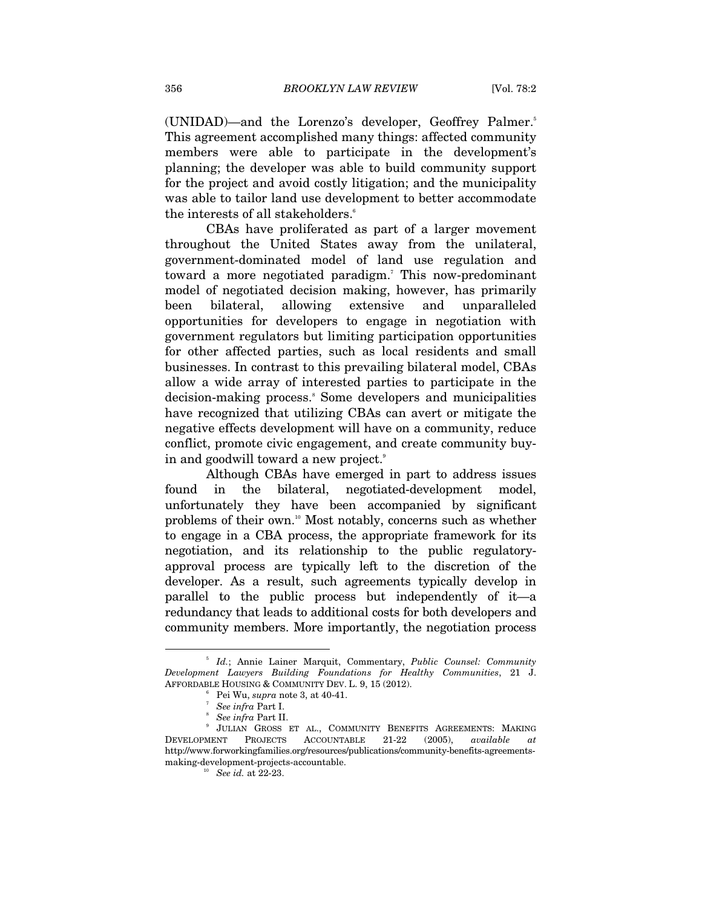(UNIDAD)—and the Lorenzo's developer, Geoffrey Palmer.<sup>5</sup> This agreement accomplished many things: affected community members were able to participate in the development's planning; the developer was able to build community support for the project and avoid costly litigation; and the municipality was able to tailor land use development to better accommodate the interests of all stakeholders.<sup>6</sup>

CBAs have proliferated as part of a larger movement throughout the United States away from the unilateral, government-dominated model of land use regulation and toward a more negotiated paradigm.7 This now-predominant model of negotiated decision making, however, has primarily been bilateral, allowing extensive and unparalleled opportunities for developers to engage in negotiation with government regulators but limiting participation opportunities for other affected parties, such as local residents and small businesses. In contrast to this prevailing bilateral model, CBAs allow a wide array of interested parties to participate in the decision-making process.<sup>8</sup> Some developers and municipalities have recognized that utilizing CBAs can avert or mitigate the negative effects development will have on a community, reduce conflict, promote civic engagement, and create community buyin and goodwill toward a new project.<sup>9</sup>

Although CBAs have emerged in part to address issues found in the bilateral, negotiated-development model, unfortunately they have been accompanied by significant problems of their own.10 Most notably, concerns such as whether to engage in a CBA process, the appropriate framework for its negotiation, and its relationship to the public regulatoryapproval process are typically left to the discretion of the developer. As a result, such agreements typically develop in parallel to the public process but independently of it—a redundancy that leads to additional costs for both developers and community members. More importantly, the negotiation process

 <sup>5</sup>  *Id.*; Annie Lainer Marquit, Commentary, *Public Counsel: Community Development Lawyers Building Foundations for Healthy Communities*, 21 J. AFFORDABLE HOUSING & COMMUNITY DEV. L. 9, 15 (2012).

 $^6$  Pei Wu, *supra* note 3, at 40-41.

 $\overline{ }$ <sup>7</sup> See infra Part I.

<sup>&</sup>lt;sup>8</sup> See infra Part II.

JULIAN GROSS ET AL., COMMUNITY BENEFITS AGREEMENTS: MAKING DEVELOPMENT PROJECTS ACCOUNTABLE 21-22 (2005), *available at* http://www.forworkingfamilies.org/resources/publications/community-benefits-agreementsmaking-development-projects-accountable. 10 *See id.* at 22-23.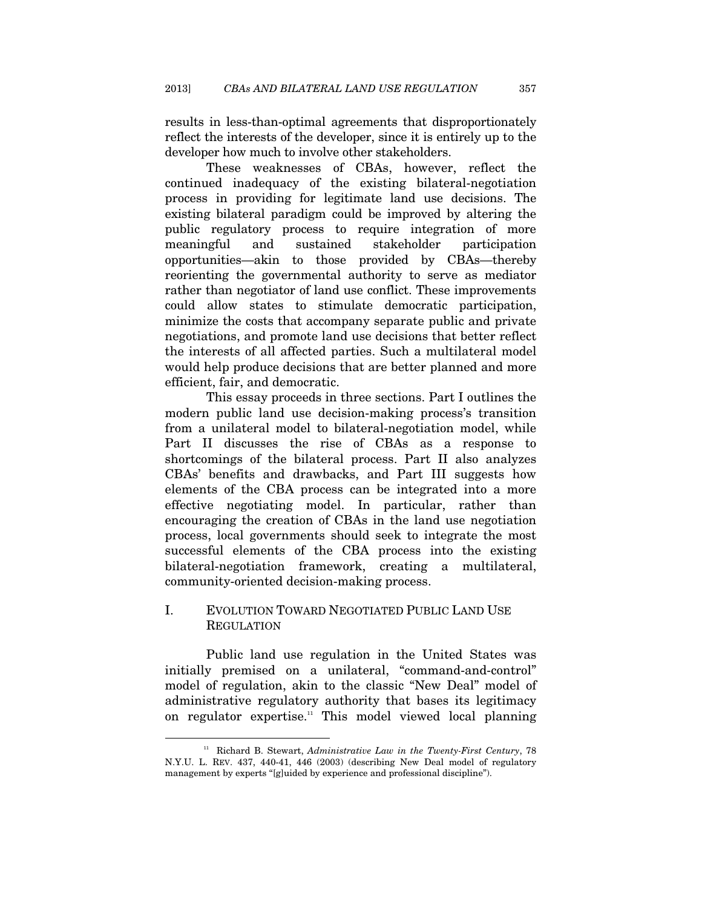results in less-than-optimal agreements that disproportionately reflect the interests of the developer, since it is entirely up to the developer how much to involve other stakeholders.

These weaknesses of CBAs, however, reflect the continued inadequacy of the existing bilateral-negotiation process in providing for legitimate land use decisions. The existing bilateral paradigm could be improved by altering the public regulatory process to require integration of more meaningful and sustained stakeholder participation opportunities—akin to those provided by CBAs—thereby reorienting the governmental authority to serve as mediator rather than negotiator of land use conflict. These improvements could allow states to stimulate democratic participation, minimize the costs that accompany separate public and private negotiations, and promote land use decisions that better reflect the interests of all affected parties. Such a multilateral model would help produce decisions that are better planned and more efficient, fair, and democratic.

This essay proceeds in three sections. Part I outlines the modern public land use decision-making process's transition from a unilateral model to bilateral-negotiation model, while Part II discusses the rise of CBAs as a response to shortcomings of the bilateral process. Part II also analyzes CBAs' benefits and drawbacks, and Part III suggests how elements of the CBA process can be integrated into a more effective negotiating model. In particular, rather than encouraging the creation of CBAs in the land use negotiation process, local governments should seek to integrate the most successful elements of the CBA process into the existing bilateral-negotiation framework, creating a multilateral, community-oriented decision-making process.

## I. EVOLUTION TOWARD NEGOTIATED PUBLIC LAND USE **REGULATION**

Public land use regulation in the United States was initially premised on a unilateral, "command-and-control" model of regulation, akin to the classic "New Deal" model of administrative regulatory authority that bases its legitimacy on regulator expertise.<sup>11</sup> This model viewed local planning

<sup>&</sup>lt;sup>11</sup> Richard B. Stewart, *Administrative Law in the Twenty-First Century*, 78 N.Y.U. L. REV. 437, 440-41, 446 (2003) (describing New Deal model of regulatory management by experts "[g]uided by experience and professional discipline").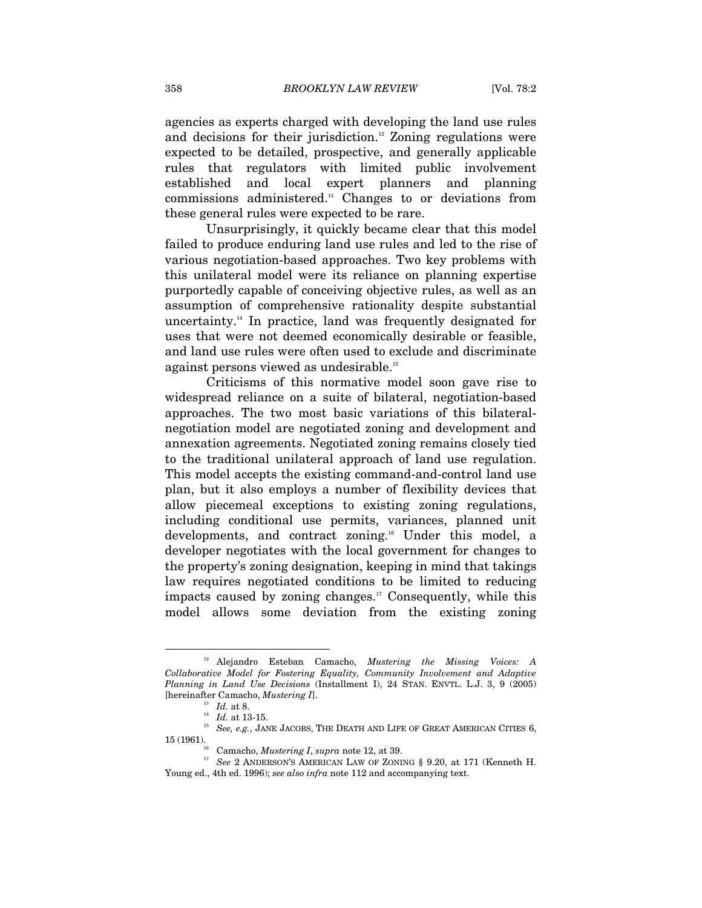agencies as experts charged with developing the land use rules and decisions for their jurisdiction.<sup>12</sup> Zoning regulations were expected to be detailed, prospective, and generally applicable rules that regulators with limited public involvement established and local expert planners and planning commissions administered.13 Changes to or deviations from these general rules were expected to be rare.

Unsurprisingly, it quickly became clear that this model failed to produce enduring land use rules and led to the rise of various negotiation-based approaches. Two key problems with this unilateral model were its reliance on planning expertise purportedly capable of conceiving objective rules, as well as an assumption of comprehensive rationality despite substantial uncertainty.<sup>14</sup> In practice, land was frequently designated for uses that were not deemed economically desirable or feasible, and land use rules were often used to exclude and discriminate against persons viewed as undesirable.15

Criticisms of this normative model soon gave rise to widespread reliance on a suite of bilateral, negotiation-based approaches. The two most basic variations of this bilateralnegotiation model are negotiated zoning and development and annexation agreements. Negotiated zoning remains closely tied to the traditional unilateral approach of land use regulation. This model accepts the existing command-and-control land use plan, but it also employs a number of flexibility devices that allow piecemeal exceptions to existing zoning regulations, including conditional use permits, variances, planned unit developments, and contract zoning.<sup>16</sup> Under this model, a developer negotiates with the local government for changes to the property's zoning designation, keeping in mind that takings law requires negotiated conditions to be limited to reducing impacts caused by zoning changes.<sup>17</sup> Consequently, while this model allows some deviation from the existing zoning

 <sup>12</sup> Alejandro Esteban Camacho, *Mustering the Missing Voices: A Collaborative Model for Fostering Equality, Community Involvement and Adaptive Planning in Land Use Decisions* (Installment I), 24 STAN. ENVTL. L.J. 3, 9 (2005) [hereinafter Camacho, *Mustering I*]. 13 *Id.* at 8.

 $^{15}$   $\,$   $\,$   $\!See,$   $e.g.,$  JANE JACOBS, THE DEATH AND LIFE OF GREAT AMERICAN CITIES 6, 15 (1961).

<sup>&</sup>lt;sup>16</sup> Camacho, *Mustering I*, *supra* note 12, at 39. 17<br><sup>17</sup> See 2 ANDERSON'S AMERICAN LAW OF ZONING § 9.20, at 171 (Kenneth H. Young ed., 4th ed. 1996); *see also infra* note 112 and accompanying text.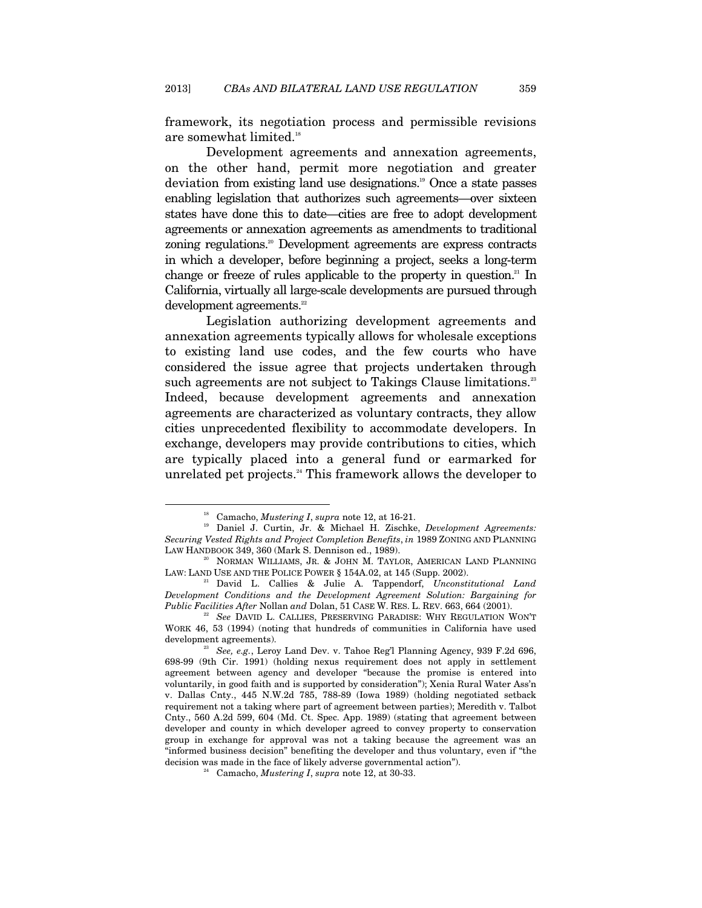framework, its negotiation process and permissible revisions are somewhat limited.<sup>18</sup>

Development agreements and annexation agreements, on the other hand, permit more negotiation and greater deviation from existing land use designations.<sup>19</sup> Once a state passes enabling legislation that authorizes such agreements—over sixteen states have done this to date—cities are free to adopt development agreements or annexation agreements as amendments to traditional zoning regulations.<sup>20</sup> Development agreements are express contracts in which a developer, before beginning a project, seeks a long-term change or freeze of rules applicable to the property in question.<sup>21</sup> In California, virtually all large-scale developments are pursued through development agreements.<sup>22</sup>

Legislation authorizing development agreements and annexation agreements typically allows for wholesale exceptions to existing land use codes, and the few courts who have considered the issue agree that projects undertaken through such agreements are not subject to Takings Clause limitations.<sup>23</sup> Indeed, because development agreements and annexation agreements are characterized as voluntary contracts, they allow cities unprecedented flexibility to accommodate developers. In exchange, developers may provide contributions to cities, which are typically placed into a general fund or earmarked for unrelated pet projects.<sup>24</sup> This framework allows the developer to

<sup>&</sup>lt;sup>18</sup> Camacho, *Mustering I*, *supra* note 12, at 16-21.<br><sup>19</sup> Daniel J. Curtin, Jr. & Michael H. Zischke, *Development Agreements: Securing Vested Rights and Project Completion Benefits*, *in* 1989 ZONING AND PLANNING

LAW HANDBOOK 349, 360 (Mark S. Dennison ed., 1989).<br><sup>20</sup> NORMAN WILLIAMS, JR. & JOHN M. TAYLOR, AMERICAN LAND PLANNING LAW: LAND USE AND THE POLICE POWER § 154A.02, at 145 (Supp. 2002).

<sup>&</sup>lt;sup>21</sup> David L. Callies & Julie A. Tappendorf, *Unconstitutional Land Development Conditions and the Development Agreement Solution: Bargaining for Public Facilities After Nollan and Dolan,* 51 CASE W. RES. L. REV. 663, 664 (2001).<br><sup>22</sup> See DAVID L. CALLIES, PRESERVING PARADISE: WHY REGULATION WON'T

WORK 46, 53 (1994) (noting that hundreds of communities in California have used development agreements). 23 *See, e.g.*, Leroy Land Dev. v. Tahoe Reg'l Planning Agency, 939 F.2d 696,

<sup>698-99 (9</sup>th Cir. 1991) (holding nexus requirement does not apply in settlement agreement between agency and developer "because the promise is entered into voluntarily, in good faith and is supported by consideration"); Xenia Rural Water Ass'n v. Dallas Cnty., 445 N.W.2d 785, 788-89 (Iowa 1989) (holding negotiated setback requirement not a taking where part of agreement between parties); Meredith v. Talbot Cnty., 560 A.2d 599, 604 (Md. Ct. Spec. App. 1989) (stating that agreement between developer and county in which developer agreed to convey property to conservation group in exchange for approval was not a taking because the agreement was an "informed business decision" benefiting the developer and thus voluntary, even if "the decision was made in the face of likely adverse governmental action"). 24 Camacho, *Mustering I*, *supra* note 12, at 30-33.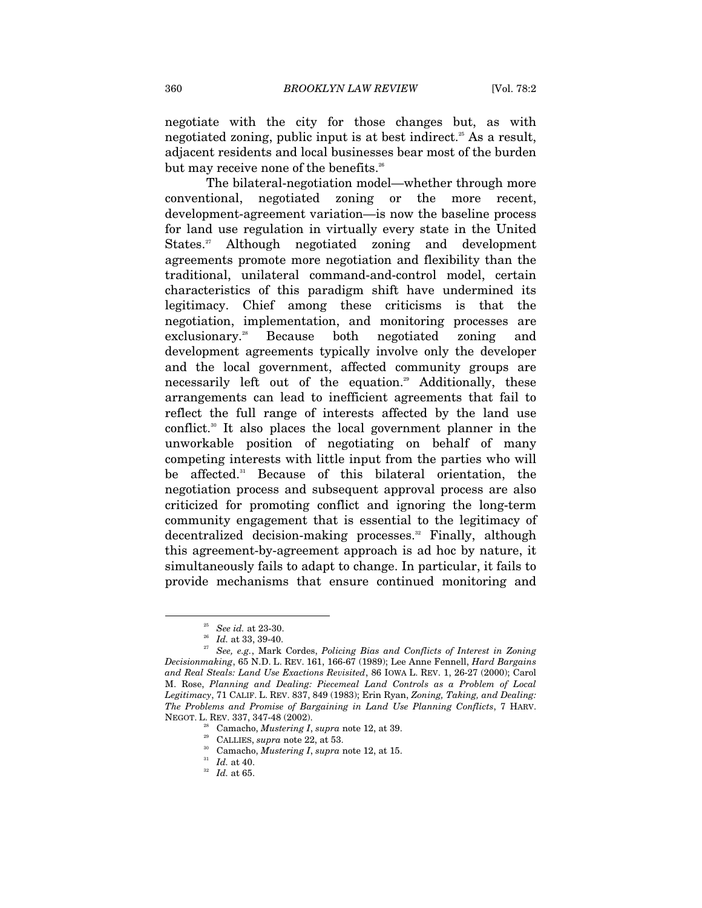negotiate with the city for those changes but, as with negotiated zoning, public input is at best indirect.<sup>25</sup> As a result, adjacent residents and local businesses bear most of the burden but may receive none of the benefits.<sup>26</sup>

The bilateral-negotiation model—whether through more conventional, negotiated zoning or the more recent, development-agreement variation—is now the baseline process for land use regulation in virtually every state in the United States.<sup>27</sup> Although negotiated zoning and development agreements promote more negotiation and flexibility than the traditional, unilateral command-and-control model, certain characteristics of this paradigm shift have undermined its legitimacy. Chief among these criticisms is that the negotiation, implementation, and monitoring processes are exclusionary.<sup>28</sup> Because both negotiated zoning and development agreements typically involve only the developer and the local government, affected community groups are necessarily left out of the equation.<sup>29</sup> Additionally, these arrangements can lead to inefficient agreements that fail to reflect the full range of interests affected by the land use conflict.<sup>30</sup> It also places the local government planner in the unworkable position of negotiating on behalf of many competing interests with little input from the parties who will be affected.<sup>31</sup> Because of this bilateral orientation, the negotiation process and subsequent approval process are also criticized for promoting conflict and ignoring the long-term community engagement that is essential to the legitimacy of decentralized decision-making processes.<sup>32</sup> Finally, although this agreement-by-agreement approach is ad hoc by nature, it simultaneously fails to adapt to change. In particular, it fails to provide mechanisms that ensure continued monitoring and

<sup>25</sup> *See id.* at 23-30. 26 *Id.* at 33, 39-40. 27 *See, e.g.*, Mark Cordes, *Policing Bias and Conflicts of Interest in Zoning Decisionmaking*, 65 N.D. L. REV. 161, 166-67 (1989); Lee Anne Fennell, *Hard Bargains and Real Steals: Land Use Exactions Revisited*, 86 IOWA L. REV. 1, 26-27 (2000); Carol M. Rose, *Planning and Dealing: Piecemeal Land Controls as a Problem of Local Legitimacy*, 71 CALIF. L. REV. 837, 849 (1983); Erin Ryan, *Zoning, Taking, and Dealing: The Problems and Promise of Bargaining in Land Use Planning Conflicts*, 7 HARV.

<sup>&</sup>lt;sup>28</sup> Camacho, *Mustering I*, *supra* note 12, at 39.<br>
<sup>29</sup> CALLIES, *supra* note 22, at 53.<br>
<sup>30</sup> Camacho, *Mustering I*, *supra* note 12, at 15.<br>
<sup>31</sup> Id. at 40.<br>
<sup>32</sup> Id. at 65.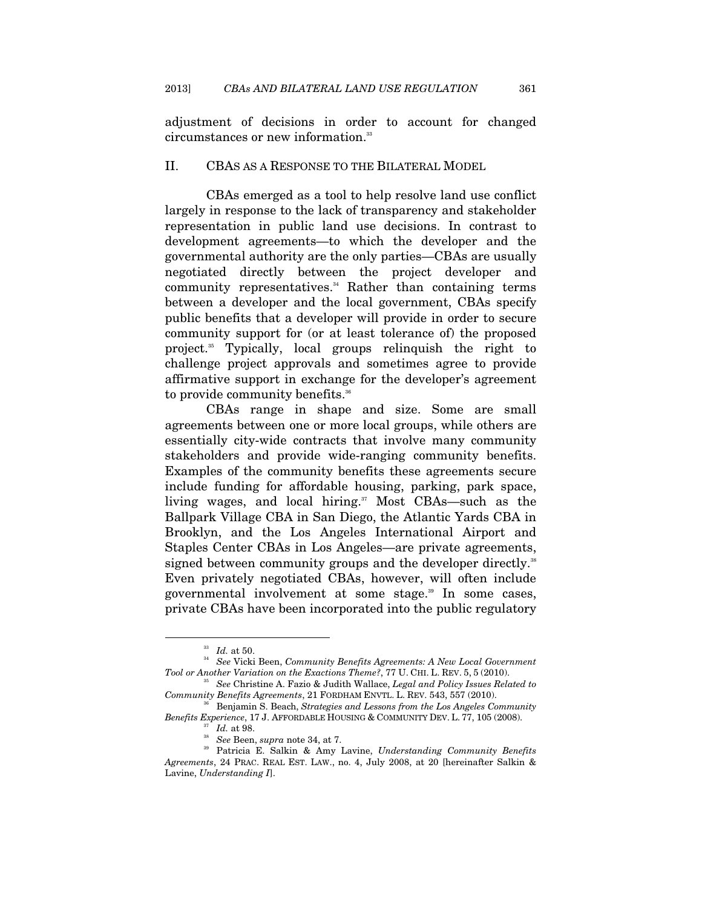adjustment of decisions in order to account for changed circumstances or new information.<sup>33</sup>

#### II. CBAS AS A RESPONSE TO THE BILATERAL MODEL

CBAs emerged as a tool to help resolve land use conflict largely in response to the lack of transparency and stakeholder representation in public land use decisions. In contrast to development agreements—to which the developer and the governmental authority are the only parties—CBAs are usually negotiated directly between the project developer and community representatives.34 Rather than containing terms between a developer and the local government, CBAs specify public benefits that a developer will provide in order to secure community support for (or at least tolerance of) the proposed project.35 Typically, local groups relinquish the right to challenge project approvals and sometimes agree to provide affirmative support in exchange for the developer's agreement to provide community benefits.<sup>36</sup>

CBAs range in shape and size. Some are small agreements between one or more local groups, while others are essentially city-wide contracts that involve many community stakeholders and provide wide-ranging community benefits. Examples of the community benefits these agreements secure include funding for affordable housing, parking, park space, living wages, and local hiring.<sup>37</sup> Most CBAs—such as the Ballpark Village CBA in San Diego, the Atlantic Yards CBA in Brooklyn, and the Los Angeles International Airport and Staples Center CBAs in Los Angeles—are private agreements, signed between community groups and the developer directly.<sup>38</sup> Even privately negotiated CBAs, however, will often include governmental involvement at some stage.<sup>39</sup> In some cases, private CBAs have been incorporated into the public regulatory

<sup>33</sup> *Id.* at 50. 34 *See* Vicki Been, *Community Benefits Agreements: A New Local Government Tool or Another Variation on the Exactions Theme?*, 77 U. CHI. L. REV. 5, <sup>5</sup> (2010). 35 *See* Christine A. Fazio & Judith Wallace, *Legal and Policy Issues Related to* 

*Community Benefits Agreements*, 21 FORDHAM ENVTL. L. REV. 543, 557 (2010).<br><sup>36</sup> Benjamin S. Beach, *Strategies and Lessons from the Los Angeles Community <br><i>Benefits Experience*, 17 J. AFFORDABLE HOUSING & COMMUNITY DEV. L

<sup>&</sup>lt;sup>37</sup> Id. at 98.<br><sup>38</sup> See Been, supra note 34, at 7.<br><sup>39</sup> Patricia E. Salkin & Amy Lavine, *Understanding Community Benefits Agreements*, 24 PRAC. REAL EST. LAW., no. 4, July 2008, at 20 [hereinafter Salkin & Lavine, *Understanding I*].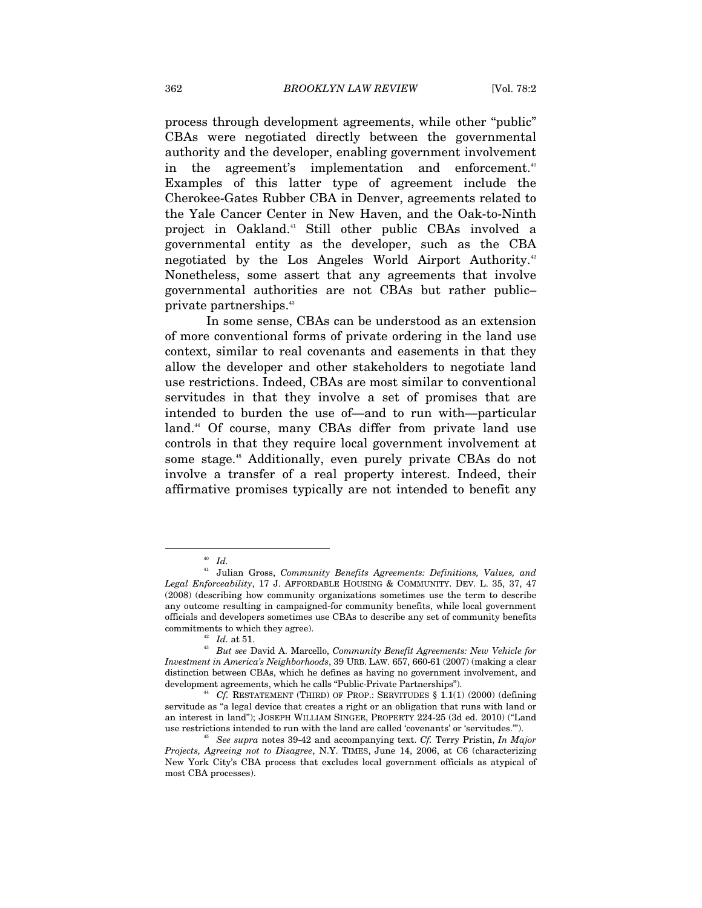process through development agreements, while other "public" CBAs were negotiated directly between the governmental authority and the developer, enabling government involvement in the agreement's implementation and enforcement.<sup>40</sup> Examples of this latter type of agreement include the Cherokee-Gates Rubber CBA in Denver, agreements related to the Yale Cancer Center in New Haven, and the Oak-to-Ninth project in Oakland.41 Still other public CBAs involved a governmental entity as the developer, such as the CBA negotiated by the Los Angeles World Airport Authority.<sup>42</sup> Nonetheless, some assert that any agreements that involve governmental authorities are not CBAs but rather public– private partnerships.<sup>43</sup>

In some sense, CBAs can be understood as an extension of more conventional forms of private ordering in the land use context, similar to real covenants and easements in that they allow the developer and other stakeholders to negotiate land use restrictions. Indeed, CBAs are most similar to conventional servitudes in that they involve a set of promises that are intended to burden the use of—and to run with—particular land.<sup>44</sup> Of course, many CBAs differ from private land use controls in that they require local government involvement at some stage.<sup>45</sup> Additionally, even purely private CBAs do not involve a transfer of a real property interest. Indeed, their affirmative promises typically are not intended to benefit any

 <sup>40</sup> *Id.*

<sup>41</sup> Julian Gross, *Community Benefits Agreements: Definitions, Values, and Legal Enforceability*, 17 J. AFFORDABLE HOUSING & COMMUNITY. DEV. L. 35, 37, 47 (2008) (describing how community organizations sometimes use the term to describe any outcome resulting in campaigned-for community benefits, while local government officials and developers sometimes use CBAs to describe any set of community benefits

commitments to which they agree). 42 *Id.* at 51. 43 *But see* David A. Marcello, *Community Benefit Agreements: New Vehicle for Investment in America's Neighborhoods*, 39 URB. LAW. 657, 660-61 (2007) (making a clear distinction between CBAs, which he defines as having no government involvement, and development agreements, which he calls "Public-Private Partnerships").<br><sup>44</sup> Cf. RESTATEMENT (THIRD) OF PROP.: SERVITUDES § 1.1(1) (2000) (defining

servitude as "a legal device that creates a right or an obligation that runs with land or an interest in land"); JOSEPH WILLIAM SINGER, PROPERTY 224-25 (3d ed. 2010) ("Land use restrictions intended to run with the land are called 'covenants' or 'servitudes.'"). 45 *See supra* notes 39-42 and accompanying text. *Cf.* Terry Pristin, *In Major* 

*Projects, Agreeing not to Disagree*, N.Y. TIMES, June 14, 2006, at C6 (characterizing New York City's CBA process that excludes local government officials as atypical of most CBA processes).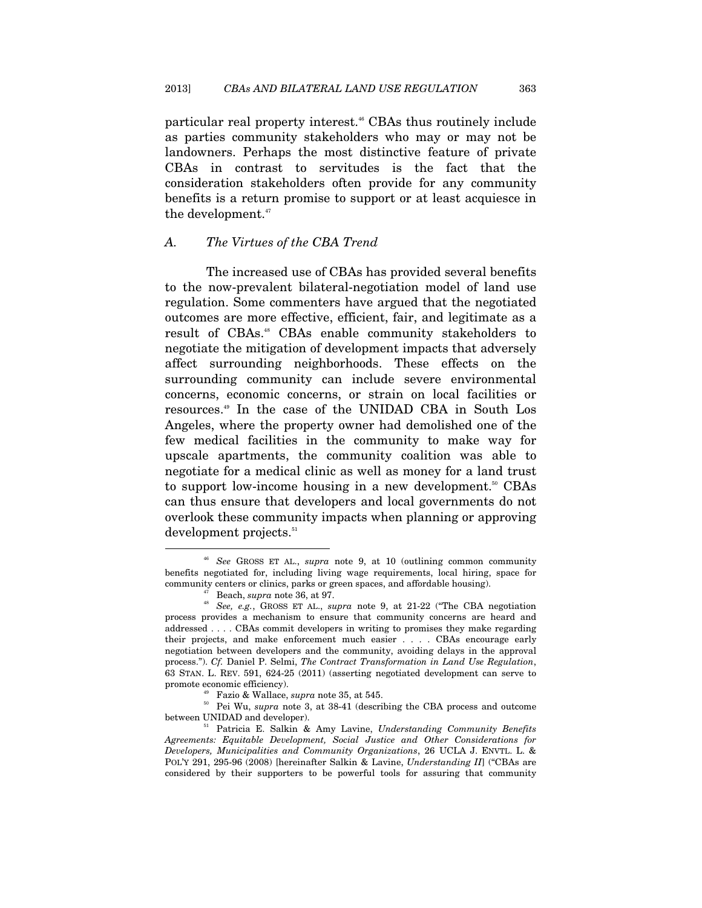particular real property interest.<sup>46</sup> CBAs thus routinely include as parties community stakeholders who may or may not be landowners. Perhaps the most distinctive feature of private CBAs in contrast to servitudes is the fact that the consideration stakeholders often provide for any community benefits is a return promise to support or at least acquiesce in the development.<sup>47</sup>

#### *A. The Virtues of the CBA Trend*

The increased use of CBAs has provided several benefits to the now-prevalent bilateral-negotiation model of land use regulation. Some commenters have argued that the negotiated outcomes are more effective, efficient, fair, and legitimate as a result of CBAs.<sup>48</sup> CBAs enable community stakeholders to negotiate the mitigation of development impacts that adversely affect surrounding neighborhoods. These effects on the surrounding community can include severe environmental concerns, economic concerns, or strain on local facilities or resources.49 In the case of the UNIDAD CBA in South Los Angeles, where the property owner had demolished one of the few medical facilities in the community to make way for upscale apartments, the community coalition was able to negotiate for a medical clinic as well as money for a land trust to support low-income housing in a new development.<sup>50</sup> CBAs can thus ensure that developers and local governments do not overlook these community impacts when planning or approving development projects.<sup>51</sup>

 <sup>46</sup> *See* GROSS ET AL., *supra* note 9, at 10 (outlining common community benefits negotiated for, including living wage requirements, local hiring, space for community centers or clinics, parks or green spaces, and affordable housing). 47 Beach, *supra* note 36, at 97. 48 *See, e.g.*, GROSS ET AL., *supra* note 9, at 21-22 ("The CBA negotiation

process provides a mechanism to ensure that community concerns are heard and addressed . . . . CBAs commit developers in writing to promises they make regarding their projects, and make enforcement much easier . . . . CBAs encourage early negotiation between developers and the community, avoiding delays in the approval process."). *Cf.* Daniel P. Selmi, *The Contract Transformation in Land Use Regulation*, 63 STAN. L. REV. 591, 624-25 (2011) (asserting negotiated development can serve to

promote economic efficiency).<br><sup>49</sup> Fazio & Wallace, *supra* note 35, at 545.<br><sup>50</sup> Pei Wu, *supra* note 3, at 38-41 (describing the CBA process and outcome<br>between UNIDAD and developer).

 $b<sup>51</sup>$  Patricia E. Salkin & Amy Lavine, *Understanding Community Benefits Agreements: Equitable Development, Social Justice and Other Considerations for Developers, Municipalities and Community Organizations*, 26 UCLA J. ENVTL. L. & POL'Y 291, 295-96 (2008) [hereinafter Salkin & Lavine, *Understanding II*] ("CBAs are considered by their supporters to be powerful tools for assuring that community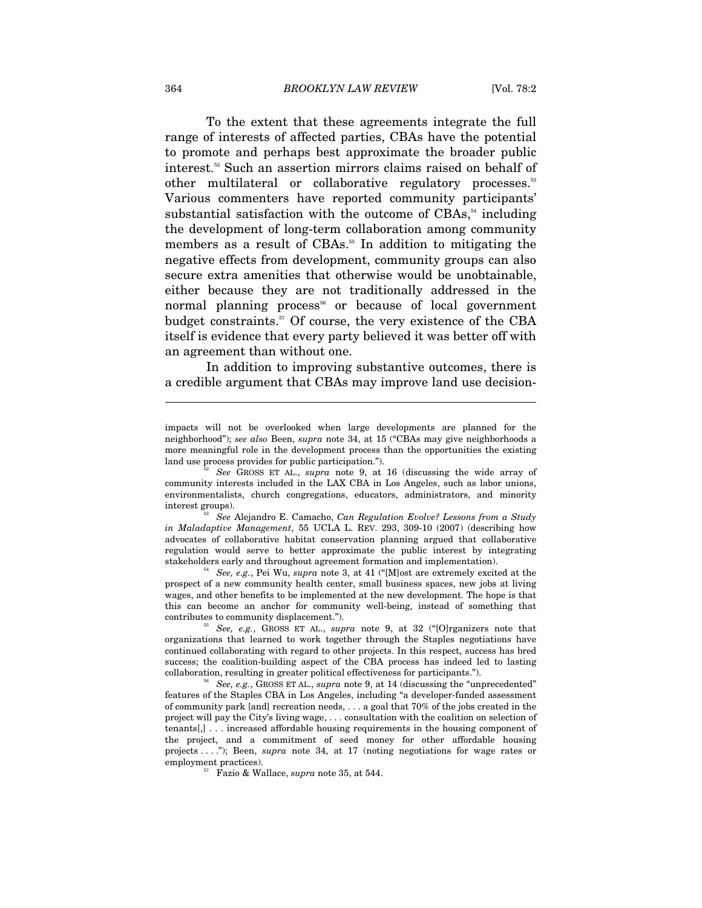To the extent that these agreements integrate the full range of interests of affected parties, CBAs have the potential to promote and perhaps best approximate the broader public interest.<sup>52</sup> Such an assertion mirrors claims raised on behalf of other multilateral or collaborative regulatory processes.<sup>53</sup> Various commenters have reported community participants' substantial satisfaction with the outcome of  $CBAs$ ,  $54$  including the development of long-term collaboration among community members as a result of CBAs.<sup>55</sup> In addition to mitigating the negative effects from development, community groups can also secure extra amenities that otherwise would be unobtainable, either because they are not traditionally addressed in the normal planning process<sup>56</sup> or because of local government budget constraints.<sup>57</sup> Of course, the very existence of the CBA itself is evidence that every party believed it was better off with an agreement than without one.

In addition to improving substantive outcomes, there is a credible argument that CBAs may improve land use decision-

prospect of a new community health center, small business spaces, new jobs at living wages, and other benefits to be implemented at the new development. The hope is that this can become an anchor for community well-being, instead of something that contributes to community displacement."). 55 *See, e.g.*, GROSS ET AL., *supra* note 9, at 32 ("[O]rganizers note that

 $\overline{a}$ 

impacts will not be overlooked when large developments are planned for the neighborhood"); *see also* Been, *supra* note 34, at 15 ("CBAs may give neighborhoods a more meaningful role in the development process than the opportunities the existing land use process provides for public participation.").

land use process provides for public participation."). 52 *See* GROSS ET AL., *supra* note 9, at 16 (discussing the wide array of community interests included in the LAX CBA in Los Angeles, such as labor unions, environmentalists, church congregations, educators, administrators, and minority interest groups). 53 *See* Alejandro E. Camacho, *Can Regulation Evolve? Lessons from a Study* 

*in Maladaptive Management*, 55 UCLA L. REV. 293, 309-10 (2007) (describing how advocates of collaborative habitat conservation planning argued that collaborative regulation would serve to better approximate the public interest by integrating stakeholders early and throughout agreement formation and implementation). 54 *See, e.g.*, Pei Wu, *supra* note 3, at 41 ("[M]ost are extremely excited at the

organizations that learned to work together through the Staples negotiations have continued collaborating with regard to other projects. In this respect, success has bred success; the coalition-building aspect of the CBA process has indeed led to lasting collaboration, resulting in greater political effectiveness for participants."). 56 *See, e.g.*, GROSS ET AL., *supra* note 9, at 14 (discussing the "unprecedented"

features of the Staples CBA in Los Angeles, including "a developer-funded assessment of community park [and] recreation needs, . . . a goal that 70% of the jobs created in the project will pay the City's living wage, . . . consultation with the coalition on selection of tenants[,] . . . increased affordable housing requirements in the housing component of the project, and a commitment of seed money for other affordable housing projects . . . ."); Been, *supra* note 34, at 17 (noting negotiations for wage rates or employment practices). 57 Fazio & Wallace, *supra* note 35, at 544.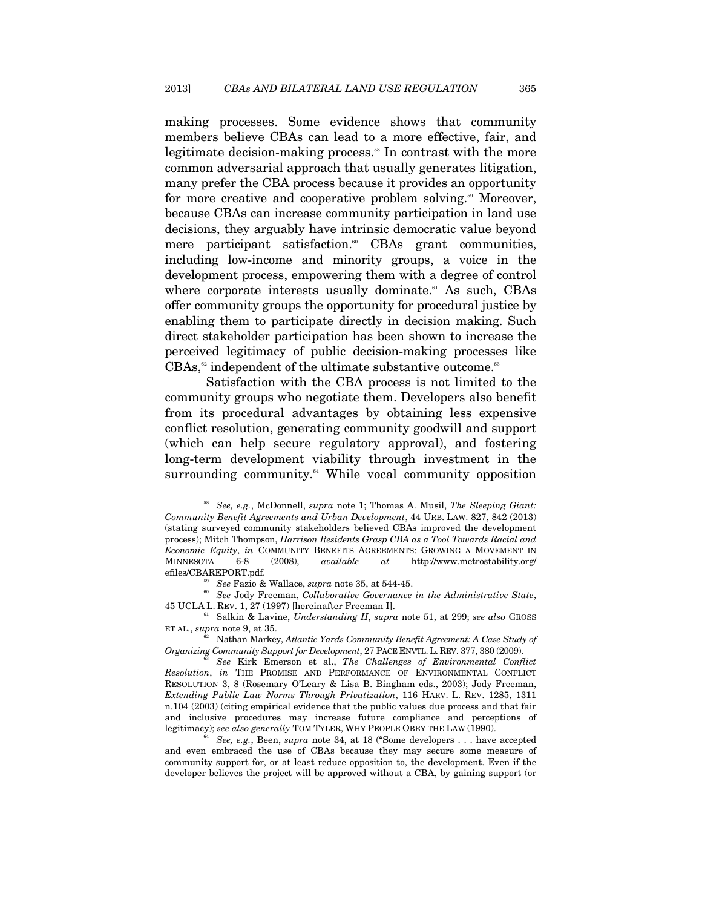making processes. Some evidence shows that community members believe CBAs can lead to a more effective, fair, and legitimate decision-making process.<sup>58</sup> In contrast with the more common adversarial approach that usually generates litigation, many prefer the CBA process because it provides an opportunity for more creative and cooperative problem solving.<sup>59</sup> Moreover, because CBAs can increase community participation in land use decisions, they arguably have intrinsic democratic value beyond mere participant satisfaction.<sup>60</sup> CBAs grant communities, including low-income and minority groups, a voice in the development process, empowering them with a degree of control where corporate interests usually dominate. $61$  As such, CBAs offer community groups the opportunity for procedural justice by enabling them to participate directly in decision making. Such direct stakeholder participation has been shown to increase the perceived legitimacy of public decision-making processes like  $CBAs<sub>1</sub><sup>62</sup>$  independent of the ultimate substantive outcome.<sup>63</sup>

Satisfaction with the CBA process is not limited to the community groups who negotiate them. Developers also benefit from its procedural advantages by obtaining less expensive conflict resolution, generating community goodwill and support (which can help secure regulatory approval), and fostering long-term development viability through investment in the surrounding community.<sup>64</sup> While vocal community opposition

 <sup>58</sup> *See, e.g.*, McDonnell, *supra* note 1; Thomas A. Musil, *The Sleeping Giant: Community Benefit Agreements and Urban Development*, 44 URB. LAW. 827, 842 (2013) (stating surveyed community stakeholders believed CBAs improved the development process); Mitch Thompson, *Harrison Residents Grasp CBA as a Tool Towards Racial and Economic Equity*, *in* COMMUNITY BENEFITS AGREEMENTS: GROWING A MOVEMENT IN MINNESOTA 6-8 (2008), *available at* http://www.metrostability.org/

<sup>&</sup>lt;sup>59</sup> See Fazio & Wallace, *supra* note 35, at 544-45.<br><sup>60</sup> See Jody Freeman, *Collaborative Governance in the Administrative State*, 45 UCLA L. REV. 1, 27 (1997) [hereinafter Freeman I]. 61 Salkin & Lavine, *Understanding II*, *supra* note 51, at 299; *see also* GROSS

ET AL., *supra* note 9, at 35. 62 Nathan Markey, *Atlantic Yards Community Benefit Agreement: A Case Study of* 

*Organizing Community Support for Development*, 27 PACE ENVTL. L. REV. 377, 380 (2009).<br><sup>63</sup> See Kirk Emerson et al., *The Challenges of Environmental Conflict* 

*Resolution*, *in* THE PROMISE AND PERFORMANCE OF ENVIRONMENTAL CONFLICT RESOLUTION 3, 8 (Rosemary O'Leary & Lisa B. Bingham eds., 2003); Jody Freeman, *Extending Public Law Norms Through Privatization*, 116 HARV. L. REV. 1285, 1311 n.104 (2003) (citing empirical evidence that the public values due process and that fair and inclusive procedures may increase future compliance and perceptions of legitimacy); *see also generally* TOM TYLER, WHY PEOPLE OBEY THE LAW (1990).<br><sup>64</sup> See, e.g., Been, *supra* note 34, at 18 ("Some developers . . . have accepted

and even embraced the use of CBAs because they may secure some measure of community support for, or at least reduce opposition to, the development. Even if the developer believes the project will be approved without a CBA, by gaining support (or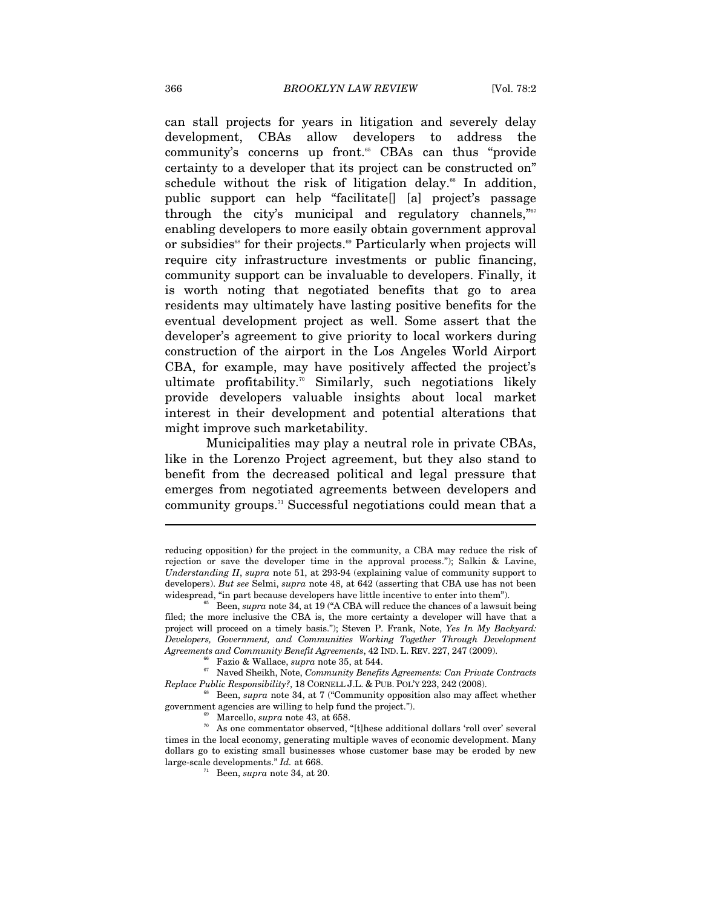can stall projects for years in litigation and severely delay development, CBAs allow developers to address the community's concerns up front.<sup>65</sup> CBAs can thus "provide certainty to a developer that its project can be constructed on" schedule without the risk of litigation delay.<sup>66</sup> In addition, public support can help "facilitate[] [a] project's passage through the city's municipal and regulatory channels," $\frac{1}{100}$ enabling developers to more easily obtain government approval or subsidies<sup>68</sup> for their projects.<sup>69</sup> Particularly when projects will require city infrastructure investments or public financing, community support can be invaluable to developers. Finally, it is worth noting that negotiated benefits that go to area residents may ultimately have lasting positive benefits for the eventual development project as well. Some assert that the developer's agreement to give priority to local workers during construction of the airport in the Los Angeles World Airport CBA, for example, may have positively affected the project's ultimate profitability.<sup>70</sup> Similarly, such negotiations likely provide developers valuable insights about local market interest in their development and potential alterations that might improve such marketability.

Municipalities may play a neutral role in private CBAs, like in the Lorenzo Project agreement, but they also stand to benefit from the decreased political and legal pressure that emerges from negotiated agreements between developers and community groups.<sup>71</sup> Successful negotiations could mean that a

 $\overline{a}$ 

reducing opposition) for the project in the community, a CBA may reduce the risk of rejection or save the developer time in the approval process."); Salkin & Lavine, *Understanding II*, *supra* note 51, at 293-94 (explaining value of community support to developers). *But see* Selmi, *supra* note 48, at 642 (asserting that CBA use has not been widespread, "in part because developers have little incentive to enter into them").<br><sup>65</sup> Been, *supra* note 34, at 19 ("A CBA will reduce the chances of a lawsuit being

filed; the more inclusive the CBA is, the more certainty a developer will have that a project will proceed on a timely basis."); Steven P. Frank, Note, *Yes In My Backyard: Developers, Government, and Communities Working Together Through Development Agreements and Community Benefit Agreements*, 42 IND. L. REV. 227, 247 (2009).<br><sup>66</sup> Fazio & Wallace, *supra* note 35, at 544.<br><sup>67</sup> Naved Sheikh, Note, *Community Benefits Agreements: Can Private Contracts* 

*Replace Public Responsibility?*, 18 CORNELL J.L. & PUB. POL'Y 223, 242 (2008).<br><sup>68</sup> Been, *supra* note 34, at 7 ("Community opposition also may affect whether government agencies are willing to help fund the project.").

 $\overset{\text{\tiny{69}}}{ }$  Marcello, *supra* note 43, at 658. These additional dollars 'roll over' several As one commentator observed, "[t]hese additional dollars 'roll over' several times in the local economy, generating multiple waves of economic development. Many dollars go to existing small businesses whose customer base may be eroded by new large-scale developments." *Id.* at 668. 71 Been, *supra* note 34, at 20.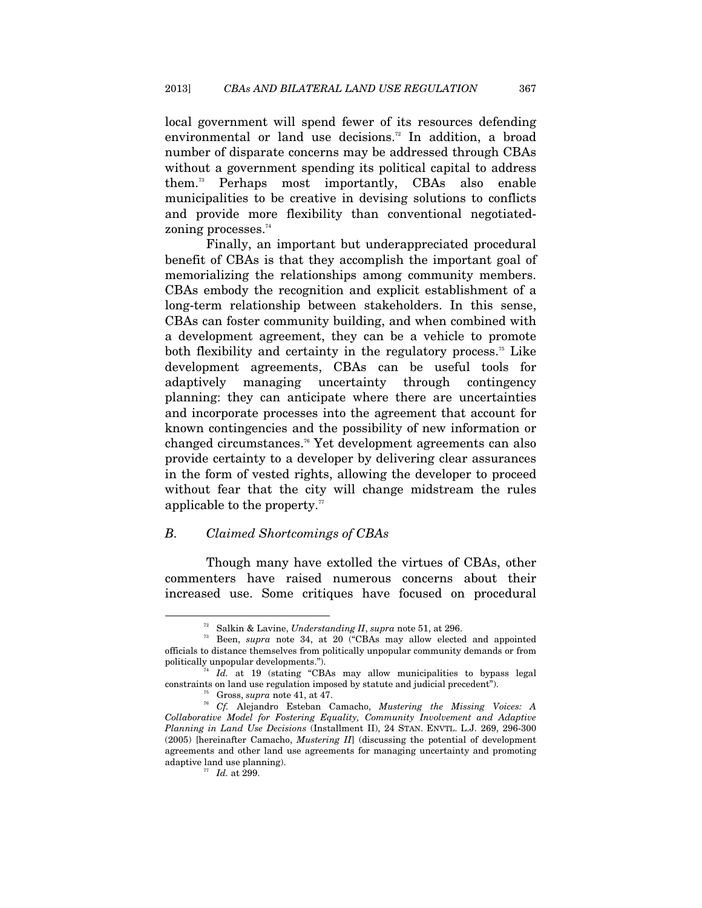local government will spend fewer of its resources defending environmental or land use decisions.<sup>72</sup> In addition, a broad number of disparate concerns may be addressed through CBAs without a government spending its political capital to address them.73 Perhaps most importantly, CBAs also enable municipalities to be creative in devising solutions to conflicts and provide more flexibility than conventional negotiatedzoning processes. $74$ 

Finally, an important but underappreciated procedural benefit of CBAs is that they accomplish the important goal of memorializing the relationships among community members. CBAs embody the recognition and explicit establishment of a long-term relationship between stakeholders. In this sense, CBAs can foster community building, and when combined with a development agreement, they can be a vehicle to promote both flexibility and certainty in the regulatory process.<sup>75</sup> Like development agreements, CBAs can be useful tools for adaptively managing uncertainty through contingency planning: they can anticipate where there are uncertainties and incorporate processes into the agreement that account for known contingencies and the possibility of new information or changed circumstances.76 Yet development agreements can also provide certainty to a developer by delivering clear assurances in the form of vested rights, allowing the developer to proceed without fear that the city will change midstream the rules applicable to the property. $\mathbb{Z}$ 

#### *B. Claimed Shortcomings of CBAs*

Though many have extolled the virtues of CBAs, other commenters have raised numerous concerns about their increased use. Some critiques have focused on procedural

 <sup>72</sup> Salkin & Lavine, *Understanding II*, *supra* note 51, at 296. 73 Been, *supra* note 34, at 20 ("CBAs may allow elected and appointed officials to distance themselves from politically unpopular community demands or from

<sup>&</sup>lt;sup>74</sup> Id. at 19 (stating "CBAs may allow municipalities to bypass legal constraints on land use regulation imposed by statute and judicial precedent"). 75 Gross, *supra* note 41, at 47.

<sup>76</sup> *Cf.* Alejandro Esteban Camacho, *Mustering the Missing Voices: A Collaborative Model for Fostering Equality, Community Involvement and Adaptive Planning in Land Use Decisions* (Installment II), 24 STAN. ENVTL. L.J. 269, 296-300 (2005) [hereinafter Camacho, *Mustering II*] (discussing the potential of development agreements and other land use agreements for managing uncertainty and promoting adaptive land use planning).<br> $\frac{77}{7}$  *Id.* at 299.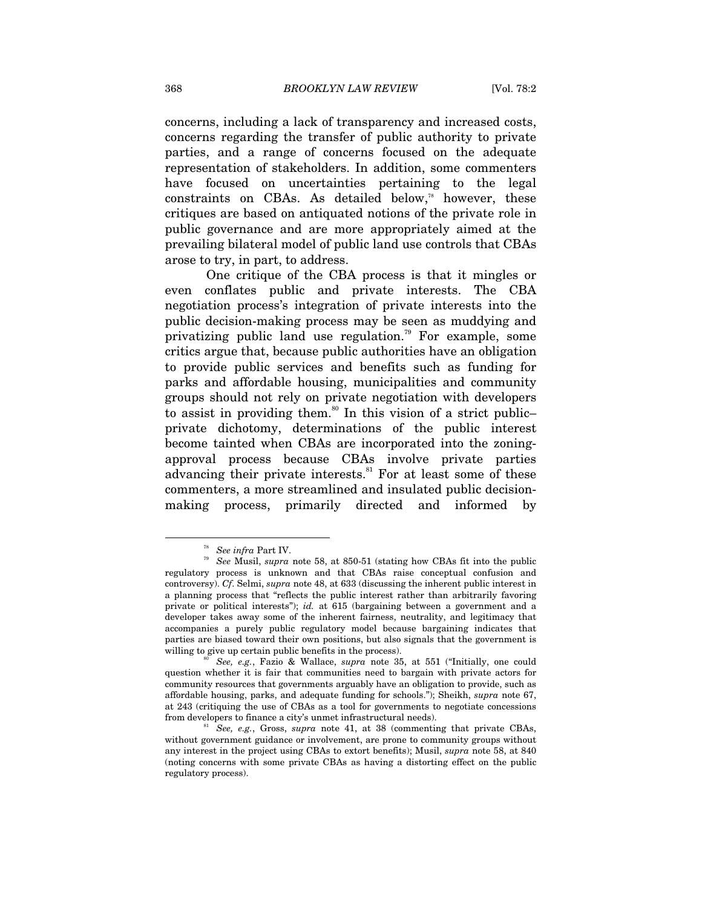concerns, including a lack of transparency and increased costs, concerns regarding the transfer of public authority to private parties, and a range of concerns focused on the adequate representation of stakeholders. In addition, some commenters have focused on uncertainties pertaining to the legal constraints on CBAs. As detailed below, $78$  however, these critiques are based on antiquated notions of the private role in public governance and are more appropriately aimed at the prevailing bilateral model of public land use controls that CBAs arose to try, in part, to address.

One critique of the CBA process is that it mingles or even conflates public and private interests. The CBA negotiation process's integration of private interests into the public decision-making process may be seen as muddying and privatizing public land use regulation.<sup>79</sup> For example, some critics argue that, because public authorities have an obligation to provide public services and benefits such as funding for parks and affordable housing, municipalities and community groups should not rely on private negotiation with developers to assist in providing them.<sup>80</sup> In this vision of a strict publicprivate dichotomy, determinations of the public interest become tainted when CBAs are incorporated into the zoningapproval process because CBAs involve private parties advancing their private interests. $81$  For at least some of these commenters, a more streamlined and insulated public decisionmaking process, primarily directed and informed by

<sup>&</sup>lt;sup>78</sup> See infra Part IV.  $\frac{78}{79}$  See Musil, *supra* note 58, at 850-51 (stating how CBAs fit into the public regulatory process is unknown and that CBAs raise conceptual confusion and controversy). *Cf*. Selmi, *supra* note 48, at 633 (discussing the inherent public interest in a planning process that "reflects the public interest rather than arbitrarily favoring private or political interests"); *id.* at 615 (bargaining between a government and a developer takes away some of the inherent fairness, neutrality, and legitimacy that accompanies a purely public regulatory model because bargaining indicates that parties are biased toward their own positions, but also signals that the government is

willing to give up certain public benefits in the process).<br><sup>80</sup> *See, e.g.*, Fazio & Wallace, *supra* note 35, at 551 ("Initially, one could question whether it is fair that communities need to bargain with private actors for community resources that governments arguably have an obligation to provide, such as affordable housing, parks, and adequate funding for schools."); Sheikh, *supra* note 67, at 243 (critiquing the use of CBAs as a tool for governments to negotiate concessions from developers to finance a city's unmet infrastructural needs). 81 *See, e.g.*, Gross, *supra* note 41, at 38 (commenting that private CBAs,

without government guidance or involvement, are prone to community groups without any interest in the project using CBAs to extort benefits); Musil, *supra* note 58, at 840 (noting concerns with some private CBAs as having a distorting effect on the public regulatory process).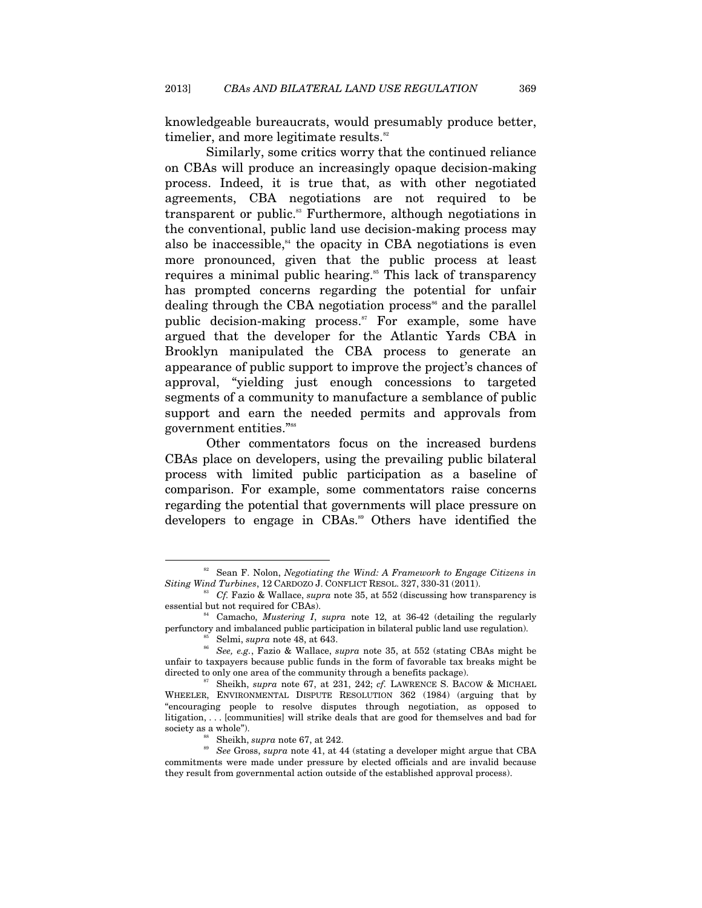knowledgeable bureaucrats, would presumably produce better, timelier, and more legitimate results.<sup>82</sup>

Similarly, some critics worry that the continued reliance on CBAs will produce an increasingly opaque decision-making process. Indeed, it is true that, as with other negotiated agreements, CBA negotiations are not required to be transparent or public.<sup>83</sup> Furthermore, although negotiations in the conventional, public land use decision-making process may also be inaccessible, $^{84}$  the opacity in CBA negotiations is even more pronounced, given that the public process at least requires a minimal public hearing.<sup>85</sup> This lack of transparency has prompted concerns regarding the potential for unfair dealing through the CBA negotiation process<sup>86</sup> and the parallel public decision-making process.<sup>87</sup> For example, some have argued that the developer for the Atlantic Yards CBA in Brooklyn manipulated the CBA process to generate an appearance of public support to improve the project's chances of approval, "yielding just enough concessions to targeted segments of a community to manufacture a semblance of public support and earn the needed permits and approvals from government entities."88

Other commentators focus on the increased burdens CBAs place on developers, using the prevailing public bilateral process with limited public participation as a baseline of comparison. For example, some commentators raise concerns regarding the potential that governments will place pressure on developers to engage in CBAs.<sup>89</sup> Others have identified the

 <sup>82</sup> Sean F. Nolon, *Negotiating the Wind: A Framework to Engage Citizens in Siting Wind Turbines*, 12 CARDOZO J. CONFLICT RESOL. 327, 330-31 (2011).<br><sup>83</sup> Cf. Fazio & Wallace, *supra* note 35, at 552 (discussing how transparency is

essential but not required for CBAs).<br><sup>84</sup> Camacho, *Mustering I*, *supra* note 12, at 36-42 (detailing the regularly

perfunctory and imbalanced public participation in bilateral public land use regulation).<br><sup>85</sup> Selmi, *supra* note 48, at 643.<br>*86 See, e.g.*, Fazio & Wallace, *supra* note 35, at 552 (stating CBAs might be

unfair to taxpayers because public funds in the form of favorable tax breaks might be directed to only one area of the community through a benefits package).<br><sup>87</sup> Sheikh, *supra* note 67, at 231, 242; *cf.* LAWRENCE S. BACOW & MICHAEL

WHEELER, ENVIRONMENTAL DISPUTE RESOLUTION 362 (1984) (arguing that by "encouraging people to resolve disputes through negotiation, as opposed to litigation, . . . [communities] will strike deals that are good for themselves and bad for

society as a whole").<br><sup>88</sup> Sheikh, *supra* note 67, at 242.<br>*89 See* Gross, *supra* note 41, at 44 (stating a developer might argue that CBA commitments were made under pressure by elected officials and are invalid because they result from governmental action outside of the established approval process).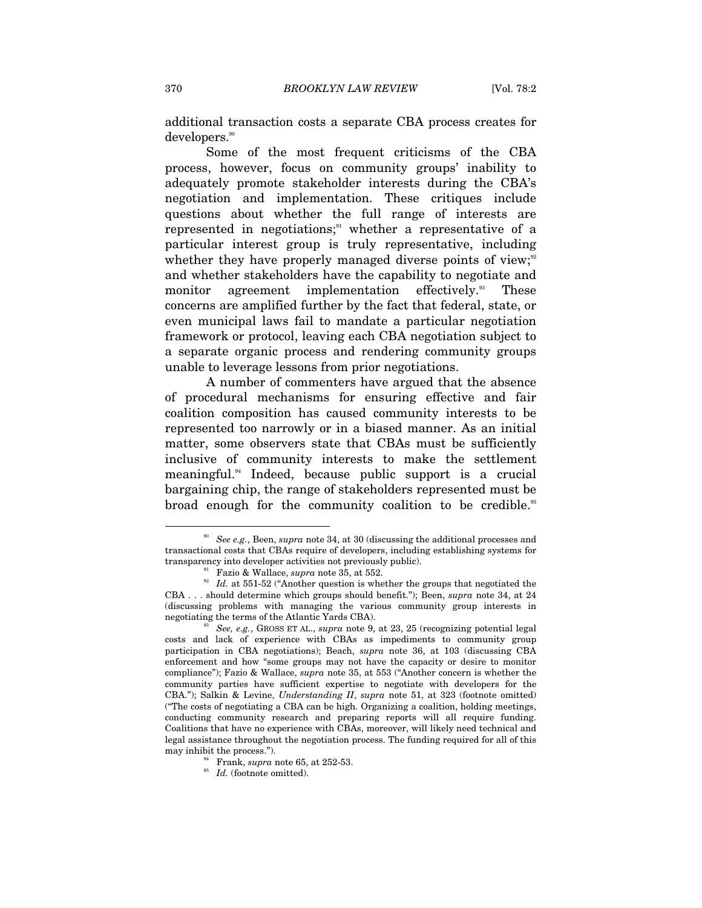additional transaction costs a separate CBA process creates for developers.<sup>90</sup>

Some of the most frequent criticisms of the CBA process, however, focus on community groups' inability to adequately promote stakeholder interests during the CBA's negotiation and implementation. These critiques include questions about whether the full range of interests are represented in negotiations; $n$  whether a representative of a particular interest group is truly representative, including whether they have properly managed diverse points of view; $\mathbb{S}^2$ and whether stakeholders have the capability to negotiate and monitor agreement implementation effectively.<sup>33</sup> These concerns are amplified further by the fact that federal, state, or even municipal laws fail to mandate a particular negotiation framework or protocol, leaving each CBA negotiation subject to a separate organic process and rendering community groups unable to leverage lessons from prior negotiations.

A number of commenters have argued that the absence of procedural mechanisms for ensuring effective and fair coalition composition has caused community interests to be represented too narrowly or in a biased manner. As an initial matter, some observers state that CBAs must be sufficiently inclusive of community interests to make the settlement meaningful.94 Indeed, because public support is a crucial bargaining chip, the range of stakeholders represented must be broad enough for the community coalition to be credible.<sup>95</sup>

 <sup>90</sup> *See e.g.*, Been, *supra* note 34, at 30 (discussing the additional processes and transactional costs that CBAs require of developers, including establishing systems for transparency into developer activities not previously public).<br><sup>91</sup> Fazio & Wallace, *supra* note 35, at 552.<br>*Id.* at 551-52 ("Another question is whether the groups that negotiated the

CBA . . . should determine which groups should benefit."); Been, *supra* note 34, at 24 (discussing problems with managing the various community group interests in negotiating the terms of the Atlantic Yards CBA). 93 *See, e.g.*, GROSS ET AL., *supra* note 9, at 23, 25 (recognizing potential legal

costs and lack of experience with CBAs as impediments to community group participation in CBA negotiations); Beach, *supra* note 36, at 103 (discussing CBA enforcement and how "some groups may not have the capacity or desire to monitor compliance"); Fazio & Wallace, *supra* note 35, at 553 ("Another concern is whether the community parties have sufficient expertise to negotiate with developers for the CBA."); Salkin & Levine, *Understanding II*, *supra* note 51, at 323 (footnote omitted) ("The costs of negotiating a CBA can be high. Organizing a coalition, holding meetings, conducting community research and preparing reports will all require funding. Coalitions that have no experience with CBAs, moreover, will likely need technical and legal assistance throughout the negotiation process. The funding required for all of this may inhibit the process."). <br><sup>94</sup> Frank, *supra* note 65, at 252-53.<br>*Id.* (footnote omitted).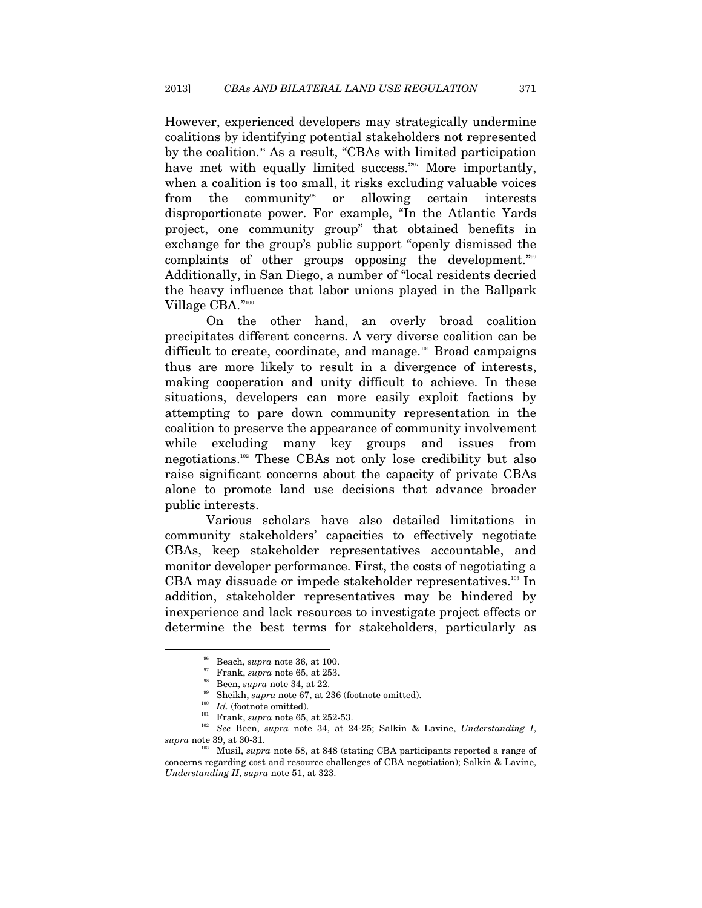However, experienced developers may strategically undermine coalitions by identifying potential stakeholders not represented by the coalition.<sup>96</sup> As a result, "CBAs with limited participation" have met with equally limited success."<sup>97</sup> More importantly, when a coalition is too small, it risks excluding valuable voices from the community<sup>98</sup> or allowing certain interests disproportionate power. For example, "In the Atlantic Yards project, one community group" that obtained benefits in exchange for the group's public support "openly dismissed the complaints of other groups opposing the development."<sup>99</sup> Additionally, in San Diego, a number of "local residents decried the heavy influence that labor unions played in the Ballpark Village CBA."100

On the other hand, an overly broad coalition precipitates different concerns. A very diverse coalition can be difficult to create, coordinate, and manage.<sup>101</sup> Broad campaigns thus are more likely to result in a divergence of interests, making cooperation and unity difficult to achieve. In these situations, developers can more easily exploit factions by attempting to pare down community representation in the coalition to preserve the appearance of community involvement while excluding many key groups and issues from negotiations.102 These CBAs not only lose credibility but also raise significant concerns about the capacity of private CBAs alone to promote land use decisions that advance broader public interests.

Various scholars have also detailed limitations in community stakeholders' capacities to effectively negotiate CBAs, keep stakeholder representatives accountable, and monitor developer performance. First, the costs of negotiating a CBA may dissuade or impede stakeholder representatives.<sup>103</sup> In addition, stakeholder representatives may be hindered by inexperience and lack resources to investigate project effects or determine the best terms for stakeholders, particularly as

<sup>&</sup>lt;sup>96</sup> Beach, *supra* note 36, at 100.<br>
<sup>97</sup> Frank, *supra* note 65, at 253.<br>
<sup>98</sup> Been, *supra* note 34, at 22.<br>
<sup>99</sup> Sheikh, *supra* note 67, at 236 (footnote omitted).<br>
<sup>100</sup> Id. (footnote omitted).<br>
<sup>101</sup> Frank, *supra* 

*Musil, supra* note 58, at 848 (stating CBA participants reported a range of concerns regarding cost and resource challenges of CBA negotiation); Salkin & Lavine, *Understanding II*, *supra* note 51, at 323.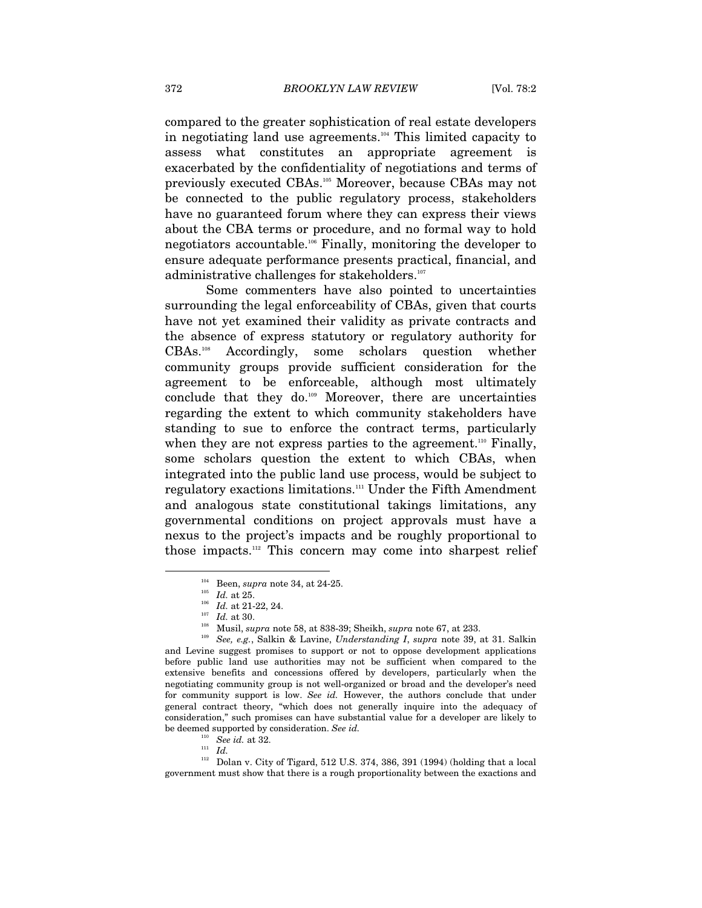compared to the greater sophistication of real estate developers in negotiating land use agreements.<sup>104</sup> This limited capacity to assess what constitutes an appropriate agreement is exacerbated by the confidentiality of negotiations and terms of previously executed CBAs.105 Moreover, because CBAs may not be connected to the public regulatory process, stakeholders have no guaranteed forum where they can express their views about the CBA terms or procedure, and no formal way to hold negotiators accountable.106 Finally, monitoring the developer to ensure adequate performance presents practical, financial, and administrative challenges for stakeholders.<sup>107</sup>

Some commenters have also pointed to uncertainties surrounding the legal enforceability of CBAs, given that courts have not yet examined their validity as private contracts and the absence of express statutory or regulatory authority for CBAs.108 Accordingly, some scholars question whether community groups provide sufficient consideration for the agreement to be enforceable, although most ultimately conclude that they do.109 Moreover, there are uncertainties regarding the extent to which community stakeholders have standing to sue to enforce the contract terms, particularly when they are not express parties to the agreement.<sup>110</sup> Finally, some scholars question the extent to which CBAs, when integrated into the public land use process, would be subject to regulatory exactions limitations.111 Under the Fifth Amendment and analogous state constitutional takings limitations, any governmental conditions on project approvals must have a nexus to the project's impacts and be roughly proportional to those impacts.112 This concern may come into sharpest relief

<sup>110</sup> *See id.* at 32. 111 *Id.*

 $^{\scriptscriptstyle 112}$  Dolan v. City of Tigard, 512 U.S. 374, 386, 391 (1994) (holding that a local government must show that there is a rough proportionality between the exactions and

<sup>&</sup>lt;sup>104</sup> Been, *supra* note 34, at 24-25.<br>
<sup>105</sup> *Id.* at 25.<br>
<sup>106</sup> *Id.* at 21-22, 24.<br>
<sup>107</sup> *Id.* at 30.<br>
<sup>108</sup> Musil, *supra* note 58, at 838-39; Sheikh, *supra* note 67, at 233.<br>
<sup>108</sup> *See, e.g.*, Salkin & Lavine, *Un* and Levine suggest promises to support or not to oppose development applications before public land use authorities may not be sufficient when compared to the extensive benefits and concessions offered by developers, particularly when the negotiating community group is not well-organized or broad and the developer's need for community support is low. *See id.* However, the authors conclude that under general contract theory, "which does not generally inquire into the adequacy of consideration," such promises can have substantial value for a developer are likely to be deemed supported by consideration. *See id.*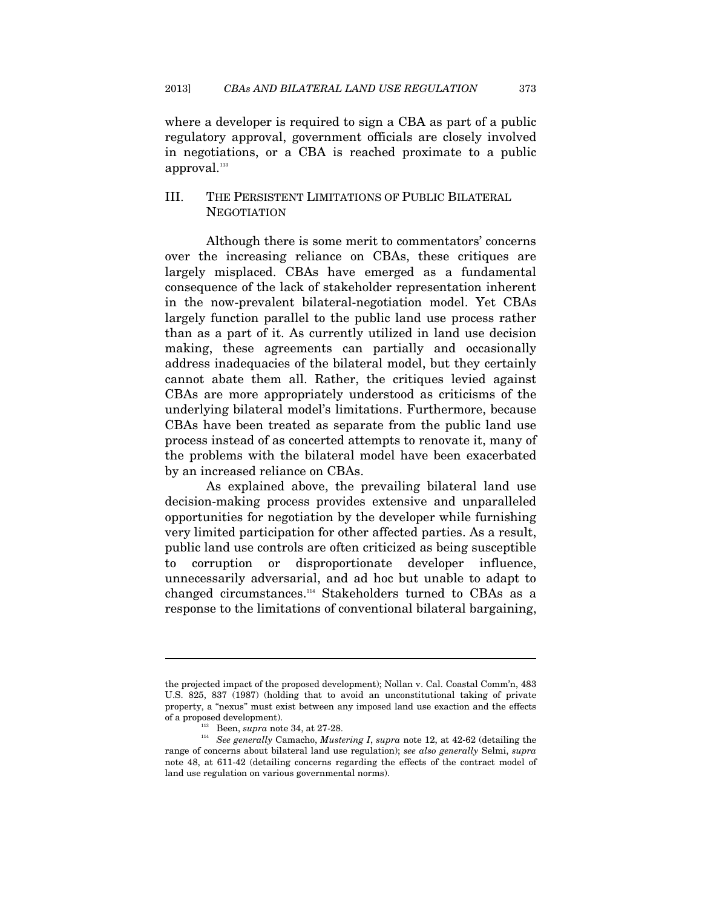where a developer is required to sign a CBA as part of a public regulatory approval, government officials are closely involved in negotiations, or a CBA is reached proximate to a public approval.<sup>113</sup>

## III. THE PERSISTENT LIMITATIONS OF PUBLIC BILATERAL **NEGOTIATION**

Although there is some merit to commentators' concerns over the increasing reliance on CBAs, these critiques are largely misplaced. CBAs have emerged as a fundamental consequence of the lack of stakeholder representation inherent in the now-prevalent bilateral-negotiation model. Yet CBAs largely function parallel to the public land use process rather than as a part of it. As currently utilized in land use decision making, these agreements can partially and occasionally address inadequacies of the bilateral model, but they certainly cannot abate them all. Rather, the critiques levied against CBAs are more appropriately understood as criticisms of the underlying bilateral model's limitations. Furthermore, because CBAs have been treated as separate from the public land use process instead of as concerted attempts to renovate it, many of the problems with the bilateral model have been exacerbated by an increased reliance on CBAs.

As explained above, the prevailing bilateral land use decision-making process provides extensive and unparalleled opportunities for negotiation by the developer while furnishing very limited participation for other affected parties. As a result, public land use controls are often criticized as being susceptible to corruption or disproportionate developer influence, unnecessarily adversarial, and ad hoc but unable to adapt to changed circumstances.114 Stakeholders turned to CBAs as a response to the limitations of conventional bilateral bargaining,

 $\overline{a}$ 

the projected impact of the proposed development); Nollan v. Cal. Coastal Comm'n, 483 U.S. 825, 837 (1987) (holding that to avoid an unconstitutional taking of private property, a "nexus" must exist between any imposed land use exaction and the effects of a proposed development). 113 Been, *supra* note 34, at 27-28. 114 *See generally* Camacho, *Mustering I*, *supra* note 12, at 42-62 (detailing the

range of concerns about bilateral land use regulation); *see also generally* Selmi, *supra* note 48, at 611-42 (detailing concerns regarding the effects of the contract model of land use regulation on various governmental norms).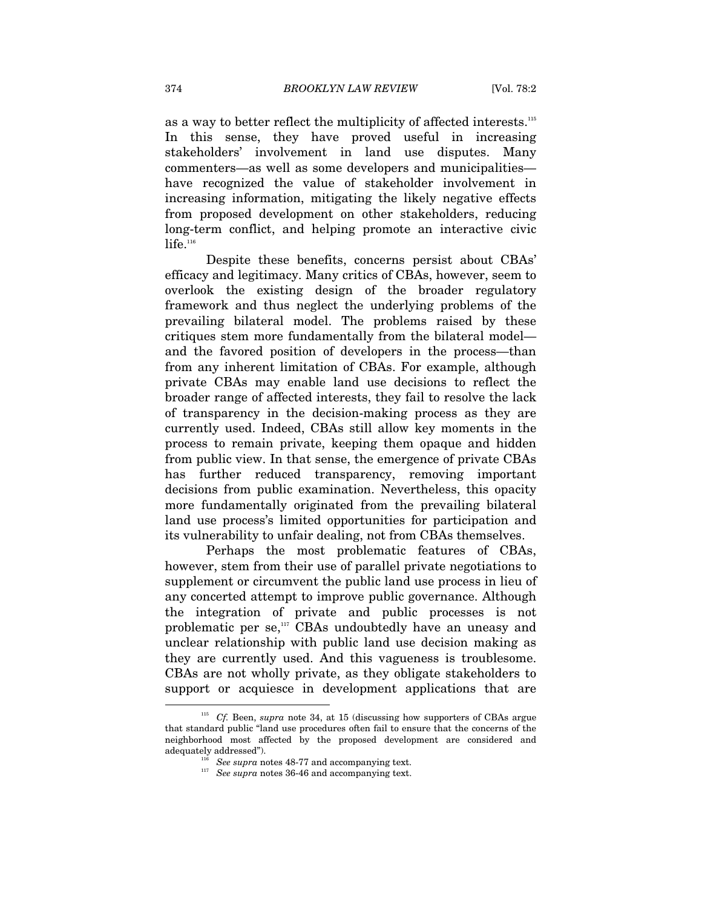as a way to better reflect the multiplicity of affected interests.115 In this sense, they have proved useful in increasing stakeholders' involvement in land use disputes. Many commenters—as well as some developers and municipalities have recognized the value of stakeholder involvement in increasing information, mitigating the likely negative effects from proposed development on other stakeholders, reducing long-term conflict, and helping promote an interactive civic  $life.$ <sup>116</sup>

Despite these benefits, concerns persist about CBAs' efficacy and legitimacy. Many critics of CBAs, however, seem to overlook the existing design of the broader regulatory framework and thus neglect the underlying problems of the prevailing bilateral model. The problems raised by these critiques stem more fundamentally from the bilateral model and the favored position of developers in the process—than from any inherent limitation of CBAs. For example, although private CBAs may enable land use decisions to reflect the broader range of affected interests, they fail to resolve the lack of transparency in the decision-making process as they are currently used. Indeed, CBAs still allow key moments in the process to remain private, keeping them opaque and hidden from public view. In that sense, the emergence of private CBAs has further reduced transparency, removing important decisions from public examination. Nevertheless, this opacity more fundamentally originated from the prevailing bilateral land use process's limited opportunities for participation and its vulnerability to unfair dealing, not from CBAs themselves.

Perhaps the most problematic features of CBAs, however, stem from their use of parallel private negotiations to supplement or circumvent the public land use process in lieu of any concerted attempt to improve public governance. Although the integration of private and public processes is not problematic per se,<sup>117</sup> CBAs undoubtedly have an uneasy and unclear relationship with public land use decision making as they are currently used. And this vagueness is troublesome. CBAs are not wholly private, as they obligate stakeholders to support or acquiesce in development applications that are

 <sup>115</sup> *Cf.* Been, *supra* note 34, at 15 (discussing how supporters of CBAs argue that standard public "land use procedures often fail to ensure that the concerns of the neighborhood most affected by the proposed development are considered and adequately addressed"). <br><sup>116</sup> See supra notes 48-77 and accompanying text.<br><sup>117</sup> See supra notes 36-46 and accompanying text.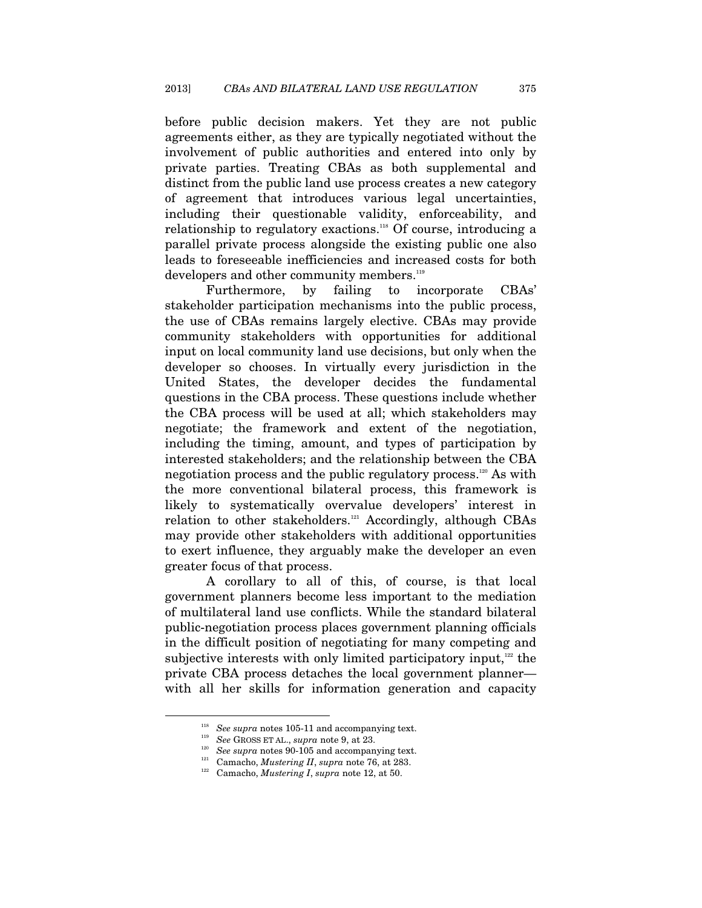before public decision makers. Yet they are not public agreements either, as they are typically negotiated without the involvement of public authorities and entered into only by private parties. Treating CBAs as both supplemental and distinct from the public land use process creates a new category of agreement that introduces various legal uncertainties, including their questionable validity, enforceability, and relationship to regulatory exactions.118 Of course, introducing a parallel private process alongside the existing public one also leads to foreseeable inefficiencies and increased costs for both developers and other community members.<sup>119</sup>

Furthermore, by failing to incorporate CBAs' stakeholder participation mechanisms into the public process, the use of CBAs remains largely elective. CBAs may provide community stakeholders with opportunities for additional input on local community land use decisions, but only when the developer so chooses. In virtually every jurisdiction in the United States, the developer decides the fundamental questions in the CBA process. These questions include whether the CBA process will be used at all; which stakeholders may negotiate; the framework and extent of the negotiation, including the timing, amount, and types of participation by interested stakeholders; and the relationship between the CBA negotiation process and the public regulatory process.120 As with the more conventional bilateral process, this framework is likely to systematically overvalue developers' interest in relation to other stakeholders.<sup>121</sup> Accordingly, although CBAs may provide other stakeholders with additional opportunities to exert influence, they arguably make the developer an even greater focus of that process.

A corollary to all of this, of course, is that local government planners become less important to the mediation of multilateral land use conflicts. While the standard bilateral public-negotiation process places government planning officials in the difficult position of negotiating for many competing and subjective interests with only limited participatory input, $122$  the private CBA process detaches the local government planner with all her skills for information generation and capacity

<sup>&</sup>lt;sup>118</sup> See supra notes 105-11 and accompanying text.<br><sup>119</sup> See GROSS ET AL., *supra* note 9, at 23.<br><sup>120</sup> See supra notes 90-105 and accompanying text.<br><sup>121</sup> Camacho, *Mustering II*, *supra* note 76, at 283.<br><sup>122</sup> Camacho,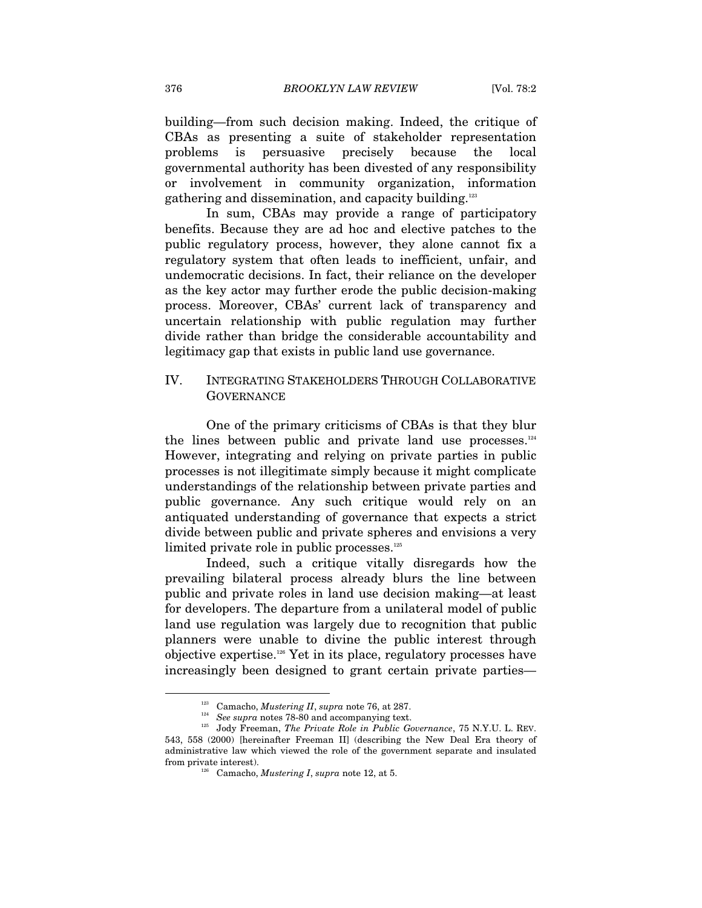building—from such decision making. Indeed, the critique of CBAs as presenting a suite of stakeholder representation problems is persuasive precisely because the local governmental authority has been divested of any responsibility or involvement in community organization, information gathering and dissemination, and capacity building.<sup>123</sup>

In sum, CBAs may provide a range of participatory benefits. Because they are ad hoc and elective patches to the public regulatory process, however, they alone cannot fix a regulatory system that often leads to inefficient, unfair, and undemocratic decisions. In fact, their reliance on the developer as the key actor may further erode the public decision-making process. Moreover, CBAs' current lack of transparency and uncertain relationship with public regulation may further divide rather than bridge the considerable accountability and legitimacy gap that exists in public land use governance.

# IV. INTEGRATING STAKEHOLDERS THROUGH COLLABORATIVE **GOVERNANCE**

One of the primary criticisms of CBAs is that they blur the lines between public and private land use processes. $124$ However, integrating and relying on private parties in public processes is not illegitimate simply because it might complicate understandings of the relationship between private parties and public governance. Any such critique would rely on an antiquated understanding of governance that expects a strict divide between public and private spheres and envisions a very limited private role in public processes.<sup>125</sup>

Indeed, such a critique vitally disregards how the prevailing bilateral process already blurs the line between public and private roles in land use decision making—at least for developers. The departure from a unilateral model of public land use regulation was largely due to recognition that public planners were unable to divine the public interest through objective expertise.126 Yet in its place, regulatory processes have increasingly been designed to grant certain private parties—

<sup>&</sup>lt;sup>123</sup> Camacho, *Mustering II*, *supra* note 76, at 287.<br><sup>124</sup> See supra notes 78-80 and accompanying text.<br><sup>125</sup> Jody Freeman, *The Private Role in Public Governance*, 75 N.Y.U. L. REV. 543, 558 (2000) [hereinafter Freeman II] (describing the New Deal Era theory of administrative law which viewed the role of the government separate and insulated from private interest). 126 Camacho, *Mustering I*, *supra* note 12, at 5.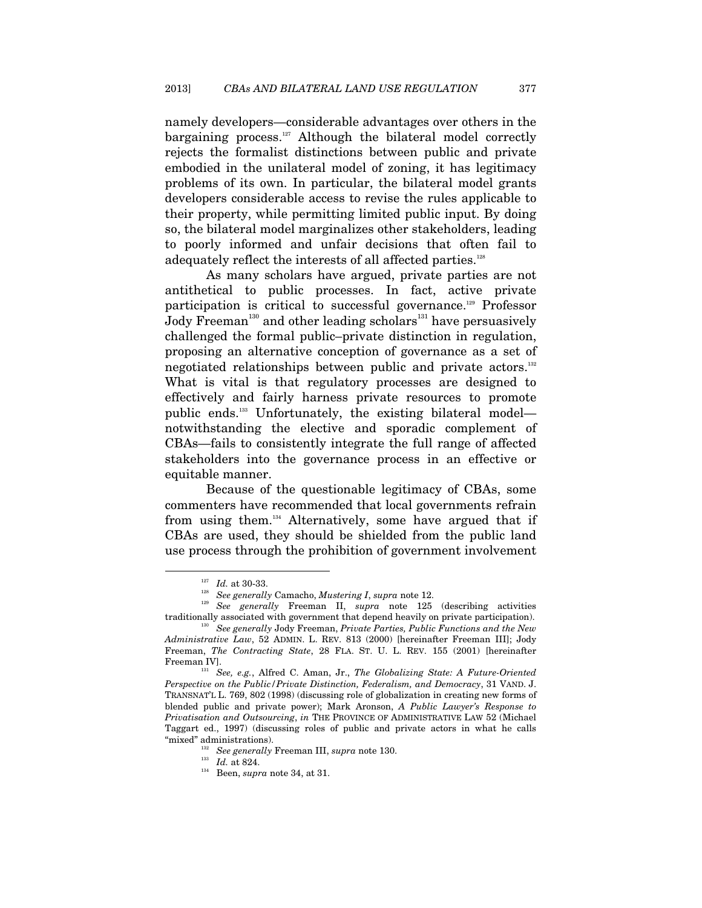namely developers—considerable advantages over others in the bargaining process.<sup>127</sup> Although the bilateral model correctly rejects the formalist distinctions between public and private embodied in the unilateral model of zoning, it has legitimacy problems of its own. In particular, the bilateral model grants developers considerable access to revise the rules applicable to their property, while permitting limited public input. By doing so, the bilateral model marginalizes other stakeholders, leading to poorly informed and unfair decisions that often fail to adequately reflect the interests of all affected parties.<sup>128</sup>

As many scholars have argued, private parties are not antithetical to public processes. In fact, active private participation is critical to successful governance.<sup>129</sup> Professor Jody Freeman<sup>130</sup> and other leading scholars<sup>131</sup> have persuasively challenged the formal public–private distinction in regulation, proposing an alternative conception of governance as a set of negotiated relationships between public and private actors.<sup>132</sup> What is vital is that regulatory processes are designed to effectively and fairly harness private resources to promote public ends.133 Unfortunately, the existing bilateral model notwithstanding the elective and sporadic complement of CBAs—fails to consistently integrate the full range of affected stakeholders into the governance process in an effective or equitable manner.

Because of the questionable legitimacy of CBAs, some commenters have recommended that local governments refrain from using them.134 Alternatively, some have argued that if CBAs are used, they should be shielded from the public land use process through the prohibition of government involvement

<sup>127</sup> *Id.* at 30-33. 128 *See generally* Camacho, *Mustering I*, *supra* note 12. 129 *See generally* Freeman II, *supra* note 125 (describing activities traditionally associated with government that depend heavily on private participation). 130 *See generally* Jody Freeman, *Private Parties, Public Functions and the New* 

*Administrative Law*, 52 ADMIN. L. REV. 813 (2000) [hereinafter Freeman III]; Jody Freeman, *The Contracting State*, 28 FLA. ST. U. L. REV. 155 (2001) [hereinafter Freeman IV]. 131 *See, e.g.*, Alfred C. Aman, Jr., *The Globalizing State: A Future-Oriented* 

*Perspective on the Public/Private Distinction, Federalism, and Democracy*, 31 VAND. J. TRANSNAT'L L. 769, 802 (1998) (discussing role of globalization in creating new forms of blended public and private power); Mark Aronson, *A Public Lawyer's Response to Privatisation and Outsourcing*, *in* THE PROVINCE OF ADMINISTRATIVE LAW 52 (Michael Taggart ed., 1997) (discussing roles of public and private actors in what he calls "mixed" administrations). 132 *See generally* Freeman III, *supra* note 130. 133 *Id.* at 824. 134 Been, *supra* note 34, at 31.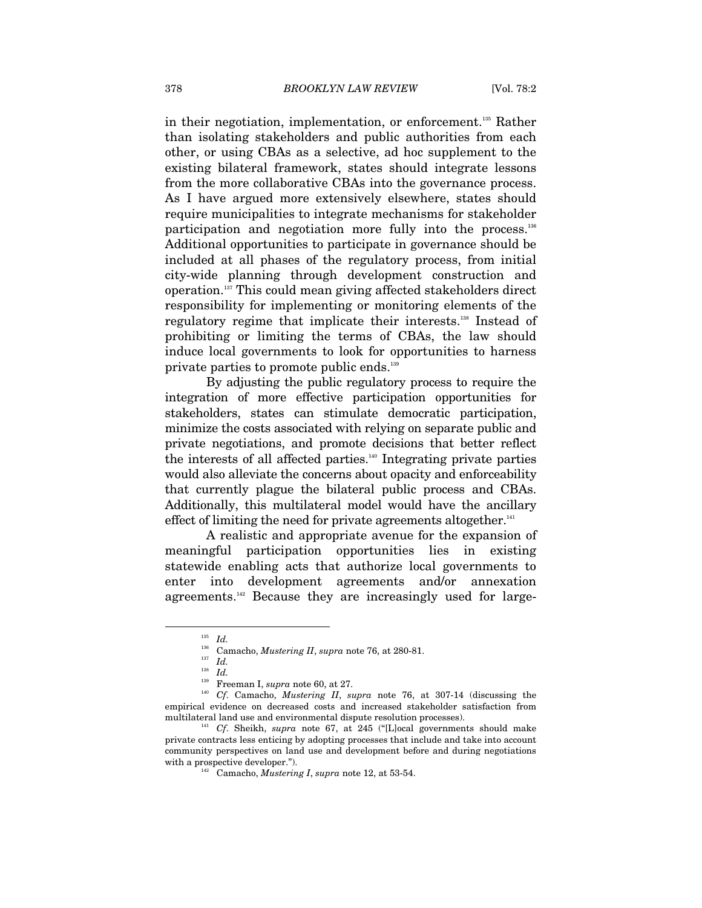in their negotiation, implementation, or enforcement.135 Rather than isolating stakeholders and public authorities from each other, or using CBAs as a selective, ad hoc supplement to the existing bilateral framework, states should integrate lessons from the more collaborative CBAs into the governance process. As I have argued more extensively elsewhere, states should require municipalities to integrate mechanisms for stakeholder participation and negotiation more fully into the process.136 Additional opportunities to participate in governance should be included at all phases of the regulatory process, from initial city-wide planning through development construction and operation.137 This could mean giving affected stakeholders direct responsibility for implementing or monitoring elements of the regulatory regime that implicate their interests.138 Instead of prohibiting or limiting the terms of CBAs, the law should induce local governments to look for opportunities to harness private parties to promote public ends.139

By adjusting the public regulatory process to require the integration of more effective participation opportunities for stakeholders, states can stimulate democratic participation, minimize the costs associated with relying on separate public and private negotiations, and promote decisions that better reflect the interests of all affected parties.<sup>140</sup> Integrating private parties would also alleviate the concerns about opacity and enforceability that currently plague the bilateral public process and CBAs. Additionally, this multilateral model would have the ancillary effect of limiting the need for private agreements altogether.<sup>141</sup>

A realistic and appropriate avenue for the expansion of meaningful participation opportunities lies in existing statewide enabling acts that authorize local governments to enter into development agreements and/or annexation agreements.<sup>142</sup> Because they are increasingly used for large-

 <sup>135</sup> *Id.*

<sup>&</sup>lt;sup>136</sup> Camacho, *Mustering II*, *supra* note 76, at 280-81.

<sup>&</sup>lt;sup>138</sup> *Id.* Freeman I, *supra* note 60, at 27.

<sup>&</sup>lt;sup>140</sup> Cf. Camacho, *Mustering II*, *supra* note 76, at 307-14 (discussing the empirical evidence on decreased costs and increased stakeholder satisfaction from multilateral land use and environmental dispute resolution processes). 141 *Cf*. Sheikh, *supra* note 67, at 245 ("[L]ocal governments should make

private contracts less enticing by adopting processes that include and take into account community perspectives on land use and development before and during negotiations with a prospective developer."). 142 Camacho, *Mustering I*, *supra* note 12, at 53-54.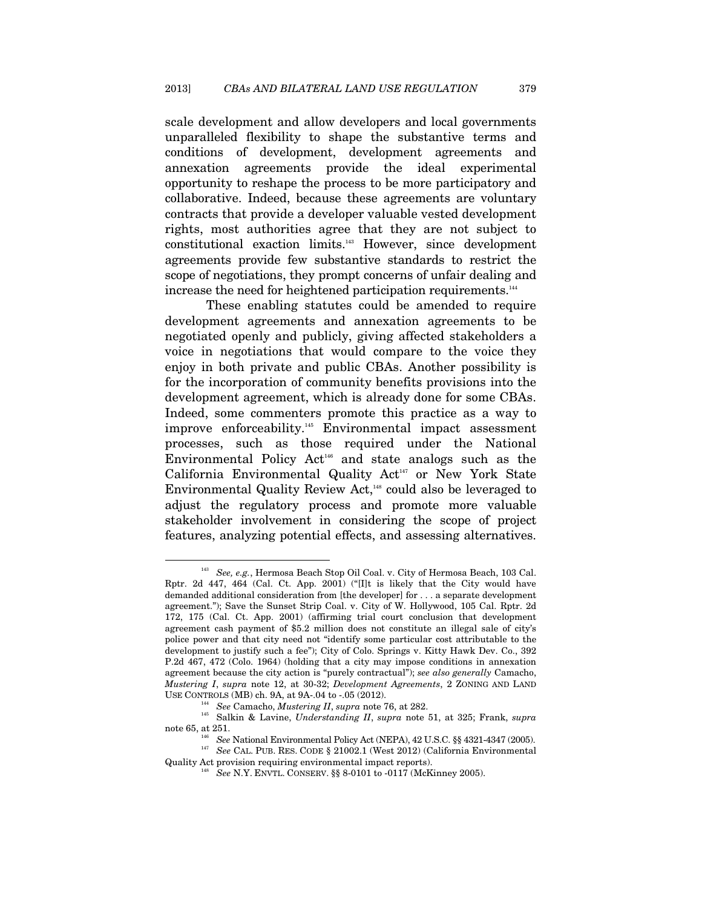scale development and allow developers and local governments unparalleled flexibility to shape the substantive terms and conditions of development, development agreements and annexation agreements provide the ideal experimental opportunity to reshape the process to be more participatory and collaborative. Indeed, because these agreements are voluntary contracts that provide a developer valuable vested development rights, most authorities agree that they are not subject to constitutional exaction limits.143 However, since development agreements provide few substantive standards to restrict the scope of negotiations, they prompt concerns of unfair dealing and increase the need for heightened participation requirements.<sup>144</sup>

These enabling statutes could be amended to require development agreements and annexation agreements to be negotiated openly and publicly, giving affected stakeholders a voice in negotiations that would compare to the voice they enjoy in both private and public CBAs. Another possibility is for the incorporation of community benefits provisions into the development agreement, which is already done for some CBAs. Indeed, some commenters promote this practice as a way to improve enforceability.<sup>145</sup> Environmental impact assessment processes, such as those required under the National Environmental Policy  $Act<sup>146</sup>$  and state analogs such as the California Environmental Quality Act<sup>147</sup> or New York State Environmental Quality Review Act,<sup>148</sup> could also be leveraged to adjust the regulatory process and promote more valuable stakeholder involvement in considering the scope of project features, analyzing potential effects, and assessing alternatives.

 <sup>143</sup> *See, e.g.*, Hermosa Beach Stop Oil Coal. v. City of Hermosa Beach, 103 Cal. Rptr. 2d 447, 464 (Cal. Ct. App. 2001) ("[I]t is likely that the City would have demanded additional consideration from [the developer] for . . . a separate development agreement."); Save the Sunset Strip Coal. v. City of W. Hollywood, 105 Cal. Rptr. 2d 172, 175 (Cal. Ct. App. 2001) (affirming trial court conclusion that development agreement cash payment of \$5.2 million does not constitute an illegal sale of city's police power and that city need not "identify some particular cost attributable to the development to justify such a fee"); City of Colo. Springs v. Kitty Hawk Dev. Co., 392 P.2d 467, 472 (Colo. 1964) (holding that a city may impose conditions in annexation agreement because the city action is "purely contractual"); *see also generally* Camacho, *Mustering I*, *supra* note 12, at 30-32; *Development Agreements*, 2 ZONING AND LAND

USE CONTROLS (MB) ch. 9A, at 9A-.04 to -.05 (2012). 144 *See* Camacho, *Mustering II*, *supra* note 76, at 282. 145 Salkin & Lavine, *Understanding II*, *supra* note 51, at 325; Frank, *supra* 

note 65, at 251. See National Environmental Policy Act (NEPA), 42 U.S.C. §§ 4321-4347 (2005).<br><sup>147</sup> See CAL. PUB. RES. CODE § 21002.1 (West 2012) (California Environmental Quality Act provision requiring environmental impact reports). 148 *See* N.Y. ENVTL. CONSERV. §§ 8-0101 to -0117 (McKinney 2005).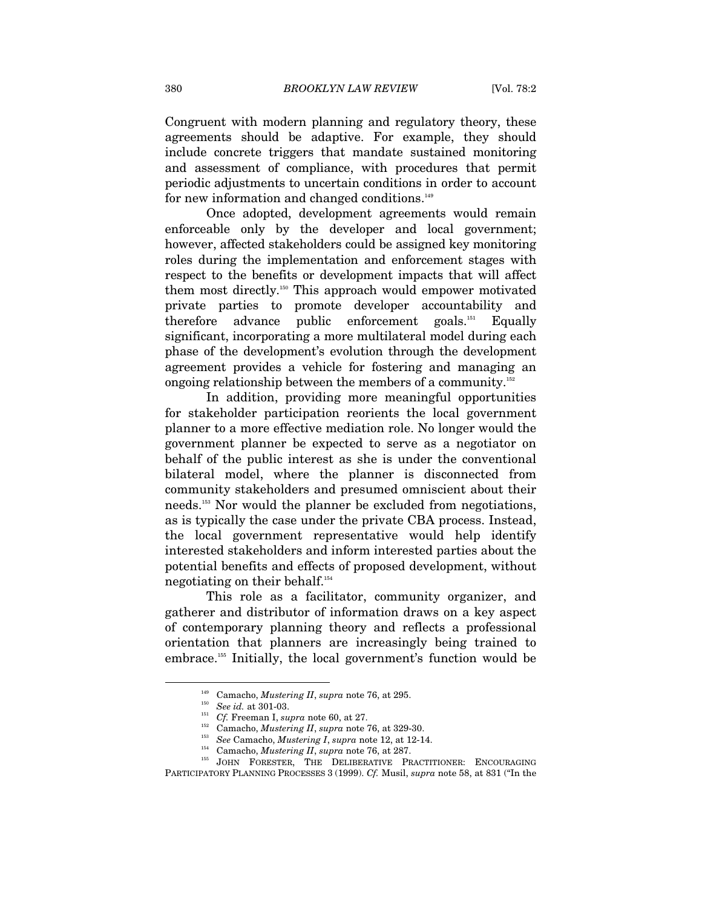Congruent with modern planning and regulatory theory, these agreements should be adaptive. For example, they should include concrete triggers that mandate sustained monitoring and assessment of compliance, with procedures that permit periodic adjustments to uncertain conditions in order to account for new information and changed conditions.<sup>149</sup>

Once adopted, development agreements would remain enforceable only by the developer and local government; however, affected stakeholders could be assigned key monitoring roles during the implementation and enforcement stages with respect to the benefits or development impacts that will affect them most directly.150 This approach would empower motivated private parties to promote developer accountability and therefore advance public enforcement goals.151 Equally significant, incorporating a more multilateral model during each phase of the development's evolution through the development agreement provides a vehicle for fostering and managing an ongoing relationship between the members of a community.152

In addition, providing more meaningful opportunities for stakeholder participation reorients the local government planner to a more effective mediation role. No longer would the government planner be expected to serve as a negotiator on behalf of the public interest as she is under the conventional bilateral model, where the planner is disconnected from community stakeholders and presumed omniscient about their needs.153 Nor would the planner be excluded from negotiations, as is typically the case under the private CBA process. Instead, the local government representative would help identify interested stakeholders and inform interested parties about the potential benefits and effects of proposed development, without negotiating on their behalf.154

This role as a facilitator, community organizer, and gatherer and distributor of information draws on a key aspect of contemporary planning theory and reflects a professional orientation that planners are increasingly being trained to embrace.155 Initially, the local government's function would be

<sup>&</sup>lt;sup>149</sup> Camacho, *Mustering II*, *supra* note 76, at 295.<br><sup>150</sup> See id. at 301-03.<br><sup>151</sup> Cf. Freeman I, *supra* note 60, at 27.<br><sup>152</sup> Camacho, *Mustering II*, *supra* note 76, at 329-30.<br><sup>153</sup> See Camacho, *Mustering II*, PARTICIPATORY PLANNING PROCESSES 3 (1999). *Cf.* Musil, *supra* note 58, at 831 ("In the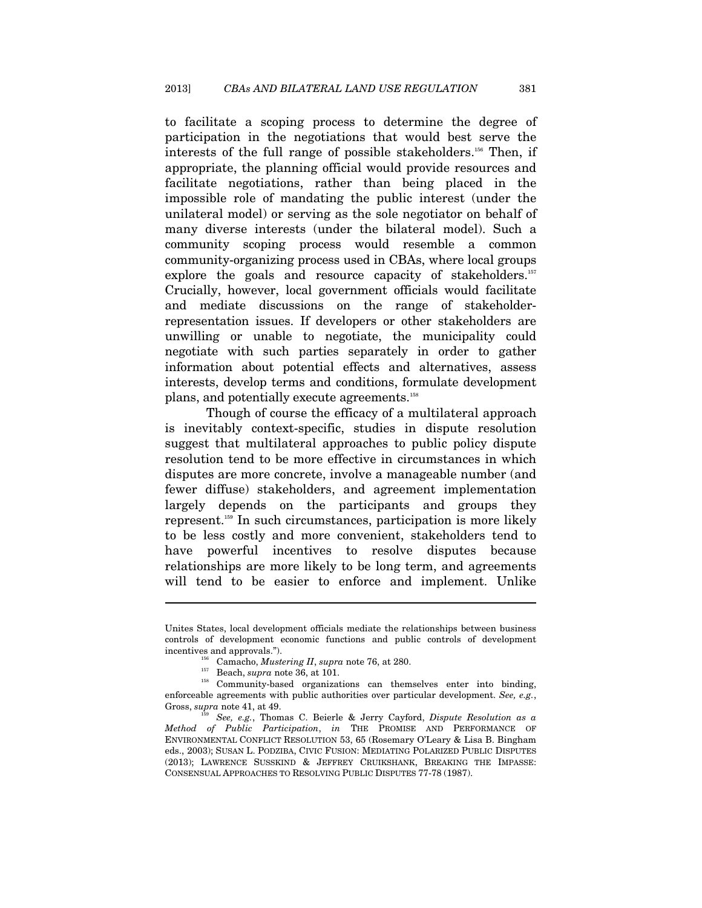to facilitate a scoping process to determine the degree of participation in the negotiations that would best serve the interests of the full range of possible stakeholders.156 Then, if appropriate, the planning official would provide resources and facilitate negotiations, rather than being placed in the impossible role of mandating the public interest (under the unilateral model) or serving as the sole negotiator on behalf of many diverse interests (under the bilateral model). Such a community scoping process would resemble a common community-organizing process used in CBAs, where local groups explore the goals and resource capacity of stakeholders.<sup>157</sup> Crucially, however, local government officials would facilitate and mediate discussions on the range of stakeholderrepresentation issues. If developers or other stakeholders are unwilling or unable to negotiate, the municipality could negotiate with such parties separately in order to gather information about potential effects and alternatives, assess interests, develop terms and conditions, formulate development plans, and potentially execute agreements.158

Though of course the efficacy of a multilateral approach is inevitably context-specific, studies in dispute resolution suggest that multilateral approaches to public policy dispute resolution tend to be more effective in circumstances in which disputes are more concrete, involve a manageable number (and fewer diffuse) stakeholders, and agreement implementation largely depends on the participants and groups they represent.159 In such circumstances, participation is more likely to be less costly and more convenient, stakeholders tend to have powerful incentives to resolve disputes because relationships are more likely to be long term, and agreements will tend to be easier to enforce and implement. Unlike

 $\overline{a}$ 

Unites States, local development officials mediate the relationships between business controls of development economic functions and public controls of development

incentives and approvals.").<br>
<sup>156</sup> Camacho, *Mustering II*, *supra* note 76, at 280.<br>
<sup>157</sup> Beach, *supra* note 36, at 101.<br>
Community-based organizations can themselves enter into binding, enforceable agreements with public authorities over particular development. *See, e.g.*,

<sup>&</sup>lt;sup>59</sup> See, e.g., Thomas C. Beierle & Jerry Cayford, *Dispute Resolution as a Method of Public Participation*, *in* THE PROMISE AND PERFORMANCE OF ENVIRONMENTAL CONFLICT RESOLUTION 53, 65 (Rosemary O'Leary & Lisa B. Bingham eds., 2003); SUSAN L. PODZIBA, CIVIC FUSION: MEDIATING POLARIZED PUBLIC DISPUTES (2013); LAWRENCE SUSSKIND & JEFFREY CRUIKSHANK, BREAKING THE IMPASSE: CONSENSUAL APPROACHES TO RESOLVING PUBLIC DISPUTES 77-78 (1987).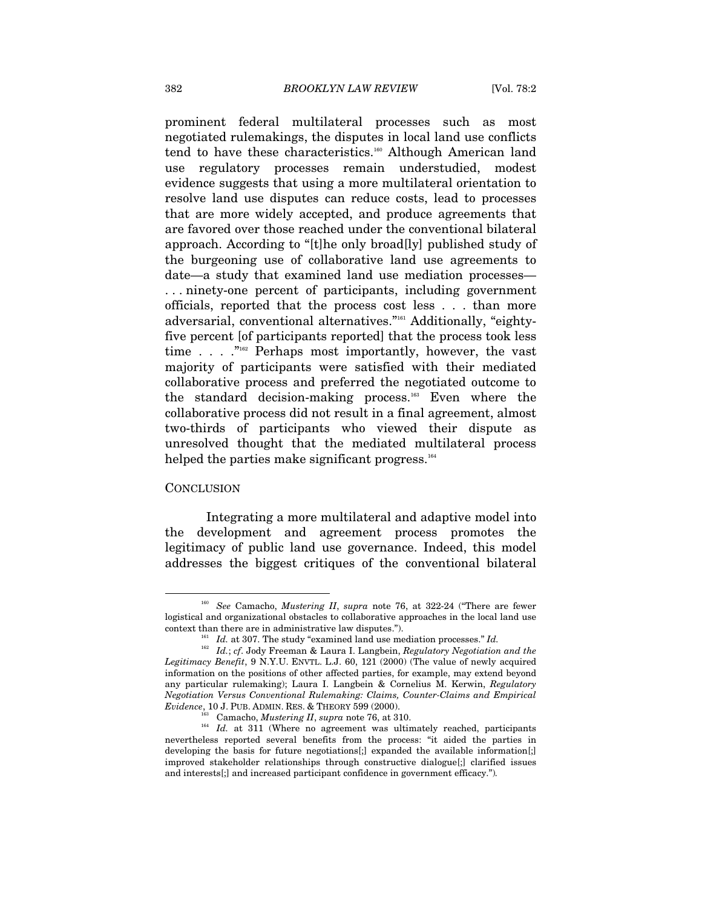prominent federal multilateral processes such as most negotiated rulemakings, the disputes in local land use conflicts tend to have these characteristics.<sup>160</sup> Although American land use regulatory processes remain understudied, modest evidence suggests that using a more multilateral orientation to resolve land use disputes can reduce costs, lead to processes that are more widely accepted, and produce agreements that are favored over those reached under the conventional bilateral approach. According to "[t]he only broad[ly] published study of the burgeoning use of collaborative land use agreements to date—a study that examined land use mediation processes— . . . ninety-one percent of participants, including government officials, reported that the process cost less . . . than more adversarial, conventional alternatives."161 Additionally, "eightyfive percent [of participants reported] that the process took less time  $\ldots$  ."<sup>162</sup> Perhaps most importantly, however, the vast majority of participants were satisfied with their mediated collaborative process and preferred the negotiated outcome to the standard decision-making process.<sup>163</sup> Even where the collaborative process did not result in a final agreement, almost two-thirds of participants who viewed their dispute as unresolved thought that the mediated multilateral process helped the parties make significant progress.<sup>164</sup>

#### **CONCLUSION**

Integrating a more multilateral and adaptive model into the development and agreement process promotes the legitimacy of public land use governance. Indeed, this model addresses the biggest critiques of the conventional bilateral

 <sup>160</sup> *See* Camacho, *Mustering II*, *supra* note 76, at 322-24 ("There are fewer logistical and organizational obstacles to collaborative approaches in the local land use context than there are in administrative law disputes."). 161 *Id.* at 307. The study "examined land use mediation processes." *Id.*

<sup>162</sup> *Id.*; *cf*. Jody Freeman & Laura I. Langbein, *Regulatory Negotiation and the Legitimacy Benefit*, 9 N.Y.U. ENVTL. L.J. 60, 121 (2000) (The value of newly acquired information on the positions of other affected parties, for example, may extend beyond any particular rulemaking); Laura I. Langbein & Cornelius M. Kerwin, *Regulatory Negotiation Versus Conventional Rulemaking: Claims, Counter-Claims and Empirical* 

<sup>&</sup>lt;sup>163</sup> Camacho, *Mustering II*, *supra* note 76, at 310.<br><sup>164</sup> Id. at 311 (Where no agreement was ultimately reached, participants nevertheless reported several benefits from the process: "it aided the parties in developing the basis for future negotiations[;] expanded the available information[;] improved stakeholder relationships through constructive dialogue[;] clarified issues and interests[;] and increased participant confidence in government efficacy.")*.*